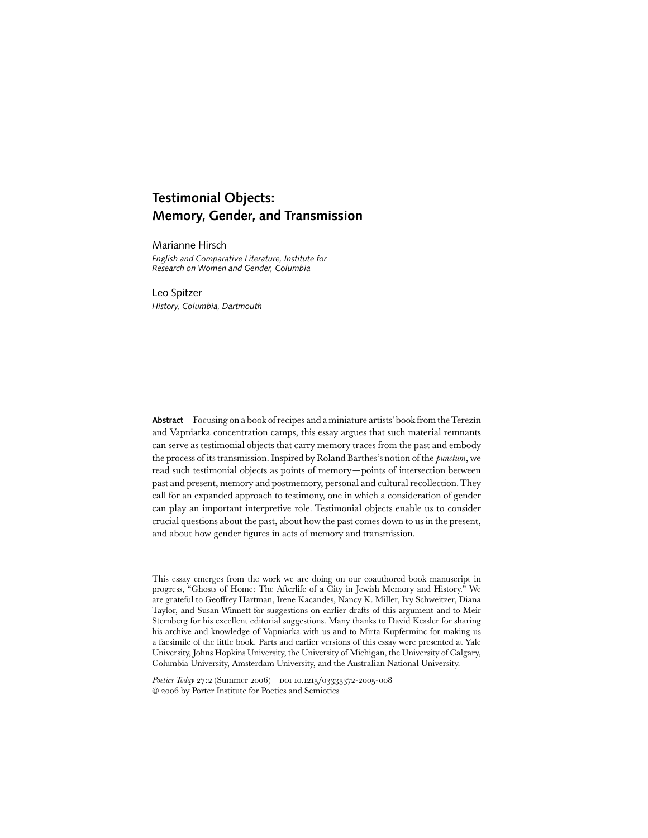# Testimonial Objects: Memory, Gender, and Transmission

### Marianne Hirsch

English and Comparative Literature, Institute for Research on Women and Gender, Columbia

Leo Spitzer History, Columbia, Dartmouth

Abstract Focusing on a book of recipes and a miniature artists' book from the Terezín and Vapniarka concentration camps, this essay argues that such material remnants can serve as testimonial objects that carry memory traces from the past and embody the process of its transmission. Inspired by Roland Barthes's notion of the *punctum*, we read such testimonial objects as points of memory—points of intersection between past and present, memory and postmemory, personal and cultural recollection.They call for an expanded approach to testimony, one in which a consideration of gender can play an important interpretive role. Testimonial objects enable us to consider crucial questions about the past, about how the past comes down to us in the present, and about how gender figures in acts of memory and transmission.

This essay emerges from the work we are doing on our coauthored book manuscript in progress, ''Ghosts of Home: The Afterlife of a City in Jewish Memory and History.'' We are grateful to Geoffrey Hartman, Irene Kacandes, Nancy K. Miller, Ivy Schweitzer, Diana Taylor, and Susan Winnett for suggestions on earlier drafts of this argument and to Meir Sternberg for his excellent editorial suggestions. Many thanks to David Kessler for sharing his archive and knowledge of Vapniarka with us and to Mirta Kupferminc for making us a facsimile of the little book. Parts and earlier versions of this essay were presented at Yale University, Johns Hopkins University, the University of Michigan, the University of Calgary, Columbia University, Amsterdam University, and the Australian National University.

Poetics Today 27:2 (Summer 2006) DOI 10.1215/03335372-2005-008 © 2006 by Porter Institute for Poetics and Semiotics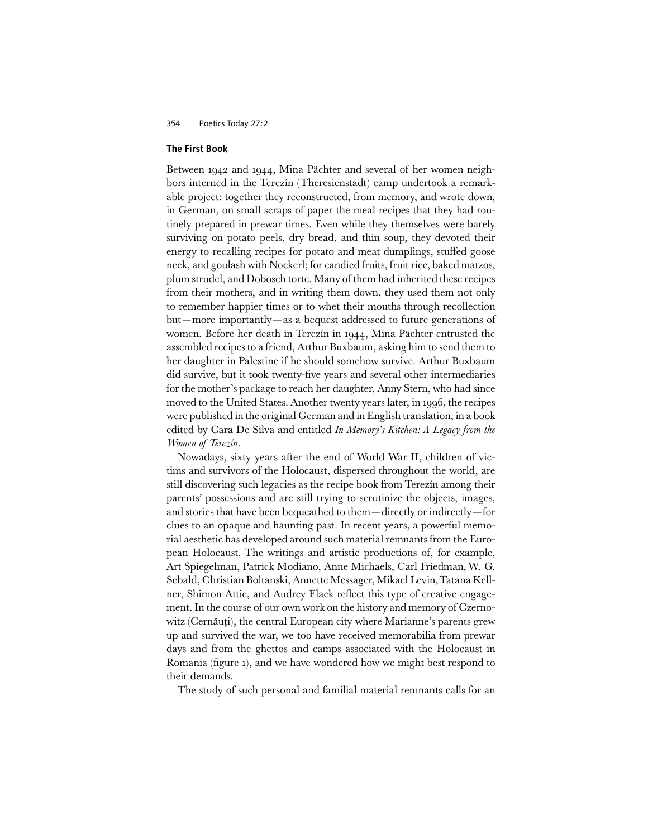# The First Book

Between 1942 and 1944, Mina Pächter and several of her women neighbors interned in the Terezín (Theresienstadt) camp undertook a remarkable project: together they reconstructed, from memory, and wrote down, in German, on small scraps of paper the meal recipes that they had routinely prepared in prewar times. Even while they themselves were barely surviving on potato peels, dry bread, and thin soup, they devoted their energy to recalling recipes for potato and meat dumplings, stuffed goose neck, and goulash with Nockerl; for candied fruits, fruit rice, baked matzos, plum strudel, and Dobosch torte. Many of them had inherited these recipes from their mothers, and in writing them down, they used them not only to remember happier times or to whet their mouths through recollection but—more importantly—as a bequest addressed to future generations of women. Before her death in Terezín in 1944, Mina Pächter entrusted the assembled recipes to a friend, Arthur Buxbaum, asking him to send them to her daughter in Palestine if he should somehow survive. Arthur Buxbaum did survive, but it took twenty-five years and several other intermediaries for the mother's package to reach her daughter, Anny Stern, who had since moved to the United States. Another twenty years later, in 1996, the recipes were published in the original German and in English translation, in a book edited by Cara De Silva and entitled In Memory's Kitchen: A Legacy from the Women of Terezín.

Nowadays, sixty years after the end of World War II, children of victims and survivors of the Holocaust, dispersed throughout the world, are still discovering such legacies as the recipe book from Terezín among their parents' possessions and are still trying to scrutinize the objects, images, and stories that have been bequeathed to them—directly or indirectly—for clues to an opaque and haunting past. In recent years, a powerful memorial aesthetic has developed around such material remnants from the European Holocaust. The writings and artistic productions of, for example, Art Spiegelman, Patrick Modiano, Anne Michaels, Carl Friedman, W. G. Sebald, Christian Boltanski, Annette Messager, Mikael Levin,Tatana Kellner, Shimon Attie, and Audrey Flack reflect this type of creative engagement. In the course of our own work on the history and memory of Czernowitz (Cernăuți), the central European city where Marianne's parents grew up and survived the war, we too have received memorabilia from prewar days and from the ghettos and camps associated with the Holocaust in Romania (figure 1), and we have wondered how we might best respond to their demands.

The study of such personal and familial material remnants calls for an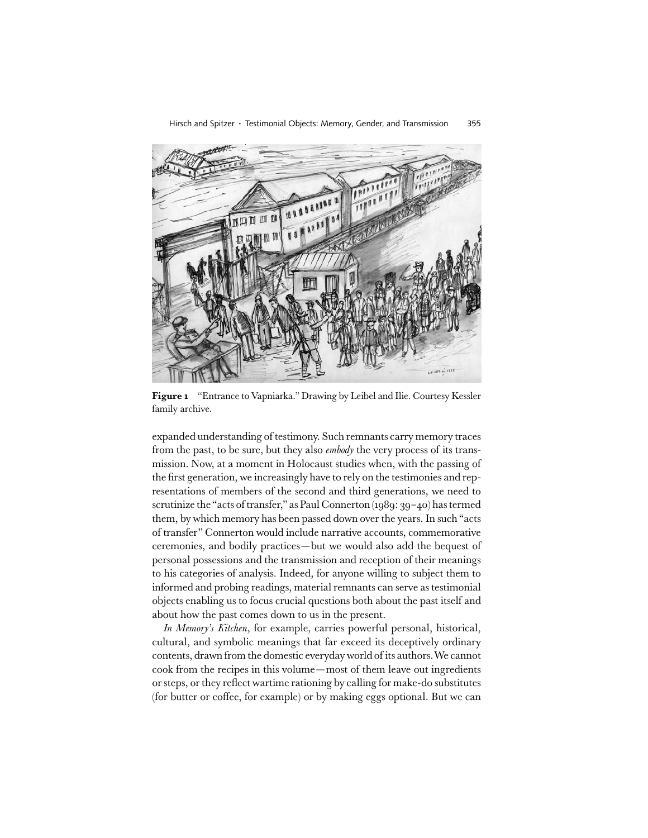

Figure 1 "Entrance to Vapniarka." Drawing by Leibel and Ilie. Courtesy Kessler family archive.

expanded understanding of testimony. Such remnants carry memory traces from the past, to be sure, but they also embody the very process of its transmission. Now, at a moment in Holocaust studies when, with the passing of the first generation, we increasingly have to rely on the testimonies and representations of members of the second and third generations, we need to scrutinize the "acts of transfer," as Paul Connerton (1989: 39-40) has termed them, by which memory has been passed down over the years. In such ''acts of transfer'' Connerton would include narrative accounts, commemorative ceremonies, and bodily practices—but we would also add the bequest of personal possessions and the transmission and reception of their meanings to his categories of analysis. Indeed, for anyone willing to subject them to informed and probing readings, material remnants can serve as testimonial objects enabling us to focus crucial questions both about the past itself and about how the past comes down to us in the present.

In Memory's Kitchen, for example, carries powerful personal, historical, cultural, and symbolic meanings that far exceed its deceptively ordinary contents, drawn from the domestic everyday world of its authors.We cannot cook from the recipes in this volume—most of them leave out ingredients or steps, or they reflect wartime rationing by calling for make-do substitutes (for butter or coffee, for example) or by making eggs optional. But we can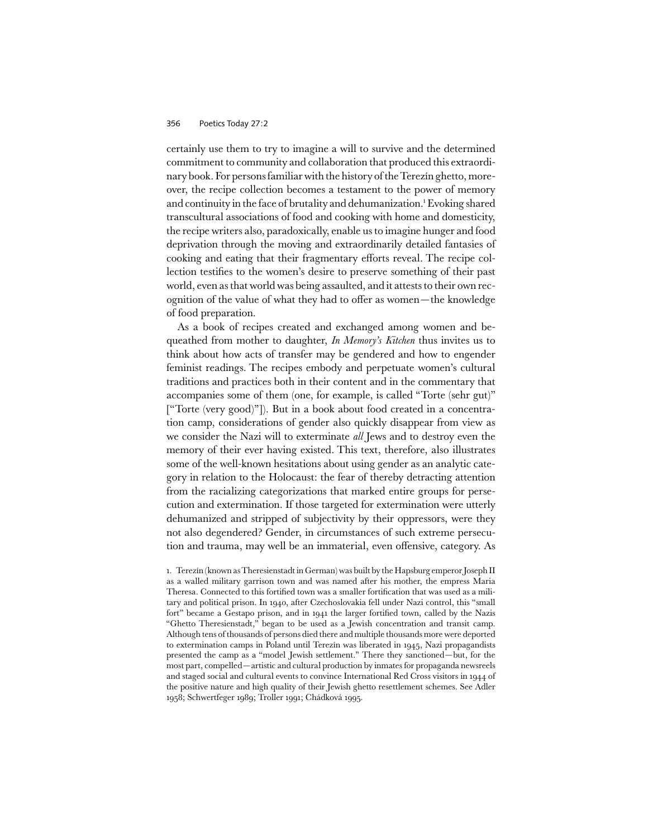certainly use them to try to imagine a will to survive and the determined commitment to community and collaboration that produced this extraordinary book. For persons familiar with the history of the Terezín ghetto, moreover, the recipe collection becomes a testament to the power of memory and continuity in the face of brutality and dehumanization.<sup>1</sup> Evoking shared transcultural associations of food and cooking with home and domesticity, the recipe writers also, paradoxically, enable us to imagine hunger and food deprivation through the moving and extraordinarily detailed fantasies of cooking and eating that their fragmentary efforts reveal. The recipe collection testifies to the women's desire to preserve something of their past world, even as that world was being assaulted, and it attests to their own recognition of the value of what they had to offer as women—the knowledge of food preparation.

As a book of recipes created and exchanged among women and bequeathed from mother to daughter, In Memory's Kitchen thus invites us to think about how acts of transfer may be gendered and how to engender feminist readings. The recipes embody and perpetuate women's cultural traditions and practices both in their content and in the commentary that accompanies some of them (one, for example, is called ''Torte (sehr gut)'' [''Torte (very good)'']). But in a book about food created in a concentration camp, considerations of gender also quickly disappear from view as we consider the Nazi will to exterminate all Jews and to destroy even the memory of their ever having existed. This text, therefore, also illustrates some of the well-known hesitations about using gender as an analytic category in relation to the Holocaust: the fear of thereby detracting attention from the racializing categorizations that marked entire groups for persecution and extermination. If those targeted for extermination were utterly dehumanized and stripped of subjectivity by their oppressors, were they not also degendered? Gender, in circumstances of such extreme persecution and trauma, may well be an immaterial, even offensive, category. As

1. Terezín (known asTheresienstadt in German) was built by the Hapsburg emperor Joseph II as a walled military garrison town and was named after his mother, the empress Maria Theresa. Connected to this fortified town was a smaller fortification that was used as a military and political prison. In 1940, after Czechoslovakia fell under Nazi control, this ''small fort'' became a Gestapo prison, and in 1941 the larger fortified town, called by the Nazis ''Ghetto Theresienstadt,'' began to be used as a Jewish concentration and transit camp. Although tens of thousands of persons died there and multiple thousands more were deported to extermination camps in Poland until Terezín was liberated in 1945, Nazi propagandists presented the camp as a ''model Jewish settlement.'' There they sanctioned—but, for the most part, compelled—artistic and cultural production by inmates for propaganda newsreels and staged social and cultural events to convince International Red Cross visitors in 1944 of the positive nature and high quality of their Jewish ghetto resettlement schemes. See Adler 1958; Schwertfeger 1989; Troller 1991; Chádková 1995.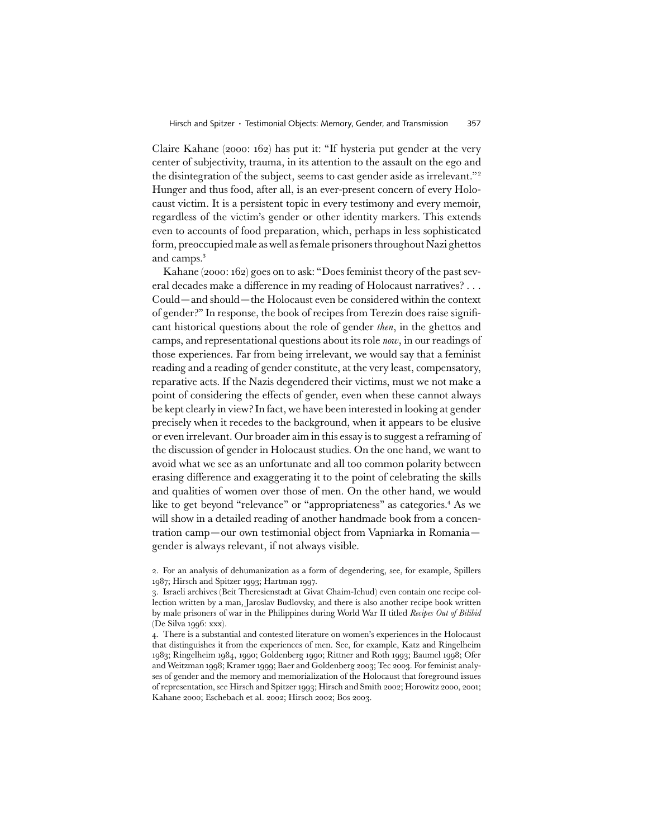Claire Kahane (2000: 162) has put it: ''If hysteria put gender at the very center of subjectivity, trauma, in its attention to the assault on the ego and the disintegration of the subject, seems to cast gender aside as irrelevant."<sup>2</sup> Hunger and thus food, after all, is an ever-present concern of every Holocaust victim. It is a persistent topic in every testimony and every memoir, regardless of the victim's gender or other identity markers. This extends even to accounts of food preparation, which, perhaps in less sophisticated form, preoccupied male as well as female prisoners throughout Nazi ghettos and camps.<sup>3</sup>

Kahane (2000: 162) goes on to ask: ''Does feminist theory of the past several decades make a difference in my reading of Holocaust narratives?... Could—and should—the Holocaust even be considered within the context of gender?'' In response, the book of recipes from Terezín does raise significant historical questions about the role of gender then, in the ghettos and camps, and representational questions about its role now, in our readings of those experiences. Far from being irrelevant, we would say that a feminist reading and a reading of gender constitute, at the very least, compensatory, reparative acts. If the Nazis degendered their victims, must we not make a point of considering the effects of gender, even when these cannot always be kept clearly in view? In fact, we have been interested in looking at gender precisely when it recedes to the background, when it appears to be elusive or even irrelevant. Our broader aim in this essay is to suggest a reframing of the discussion of gender in Holocaust studies. On the one hand, we want to avoid what we see as an unfortunate and all too common polarity between erasing difference and exaggerating it to the point of celebrating the skills and qualities of women over those of men. On the other hand, we would like to get beyond "relevance" or "appropriateness" as categories.<sup>4</sup> As we will show in a detailed reading of another handmade book from a concentration camp—our own testimonial object from Vapniarka in Romania gender is always relevant, if not always visible.

2. For an analysis of dehumanization as a form of degendering, see, for example, Spillers 1987; Hirsch and Spitzer 1993; Hartman 1997.

3. Israeli archives (Beit Theresienstadt at Givat Chaim-Ichud) even contain one recipe collection written by a man, Jaroslav Budlovsky, and there is also another recipe book written by male prisoners of war in the Philippines during World War II titled Recipes Out of Bilibid (De Silva 1996: xxx).

4. There is a substantial and contested literature on women's experiences in the Holocaust that distinguishes it from the experiences of men. See, for example, Katz and Ringelheim 1983; Ringelheim 1984, 1990; Goldenberg 1990; Rittner and Roth 1993; Baumel 1998; Ofer and Weitzman 1998; Kramer 1999; Baer and Goldenberg 2003; Tec 2003. For feminist analyses of gender and the memory and memorialization of the Holocaust that foreground issues of representation, see Hirsch and Spitzer 1993; Hirsch and Smith 2002; Horowitz 2000, 2001; Kahane 2000; Eschebach et al. 2002; Hirsch 2002; Bos 2003.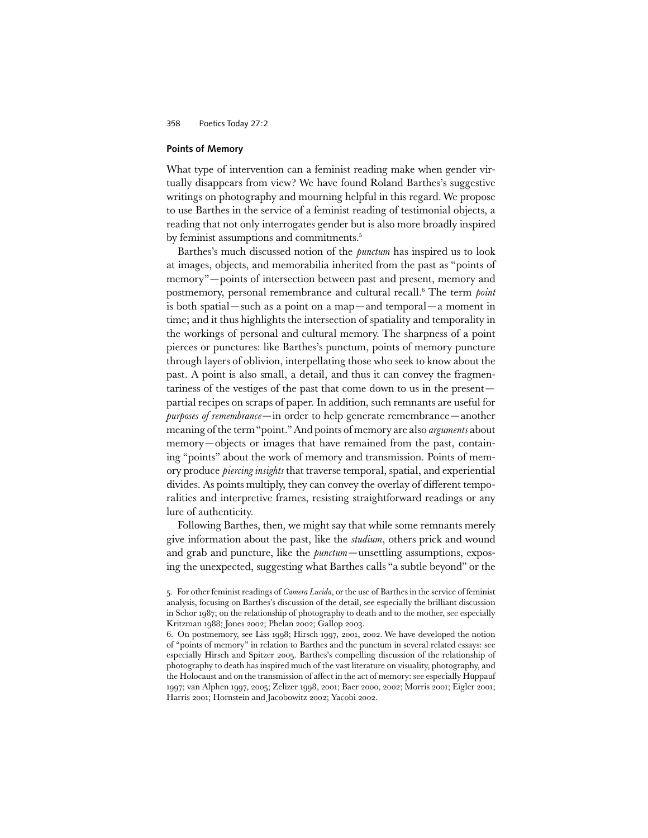### Points of Memory

What type of intervention can a feminist reading make when gender virtually disappears from view? We have found Roland Barthes's suggestive writings on photography and mourning helpful in this regard.We propose to use Barthes in the service of a feminist reading of testimonial objects, a reading that not only interrogates gender but is also more broadly inspired by feminist assumptions and commitments.<sup>5</sup>

Barthes's much discussed notion of the punctum has inspired us to look at images, objects, and memorabilia inherited from the past as ''points of memory''—points of intersection between past and present, memory and postmemory, personal remembrance and cultural recall.<sup>6</sup> The term *point* is both spatial—such as a point on a map—and temporal—a moment in time; and it thus highlights the intersection of spatiality and temporality in the workings of personal and cultural memory. The sharpness of a point pierces or punctures: like Barthes's punctum, points of memory puncture through layers of oblivion, interpellating those who seek to know about the past. A point is also small, a detail, and thus it can convey the fragmentariness of the vestiges of the past that come down to us in the present partial recipes on scraps of paper. In addition, such remnants are useful for purposes of remembrance—in order to help generate remembrance—another meaning of the term "point." And points of memory are also *arguments* about memory—objects or images that have remained from the past, containing ''points'' about the work of memory and transmission. Points of memory produce piercing insights that traverse temporal, spatial, and experiential divides. As points multiply, they can convey the overlay of different temporalities and interpretive frames, resisting straightforward readings or any lure of authenticity.

Following Barthes, then, we might say that while some remnants merely give information about the past, like the *studium*, others prick and wound and grab and puncture, like the *punctum*—unsettling assumptions, exposing the unexpected, suggesting what Barthes calls ''a subtle beyond'' or the

6. On postmemory, see Liss 1998; Hirsch 1997, 2001, 2002. We have developed the notion of ''points of memory'' in relation to Barthes and the punctum in several related essays: see especially Hirsch and Spitzer 2005. Barthes's compelling discussion of the relationship of photography to death has inspired much of the vast literature on visuality, photography, and the Holocaust and on the transmission of affect in the act of memory: see especially Hüppauf 1997; van Alphen 1997, 2005; Zelizer 1998, 2001; Baer 2000, 2002; Morris 2001; Eigler 2001; Harris 2001; Hornstein and Jacobowitz 2002; Yacobi 2002.

<sup>5.</sup> For other feminist readings of *Camera Lucida*, or the use of Barthes in the service of feminist analysis, focusing on Barthes's discussion of the detail, see especially the brilliant discussion in Schor 1987; on the relationship of photography to death and to the mother, see especially Kritzman 1988; Jones 2002; Phelan 2002; Gallop 2003.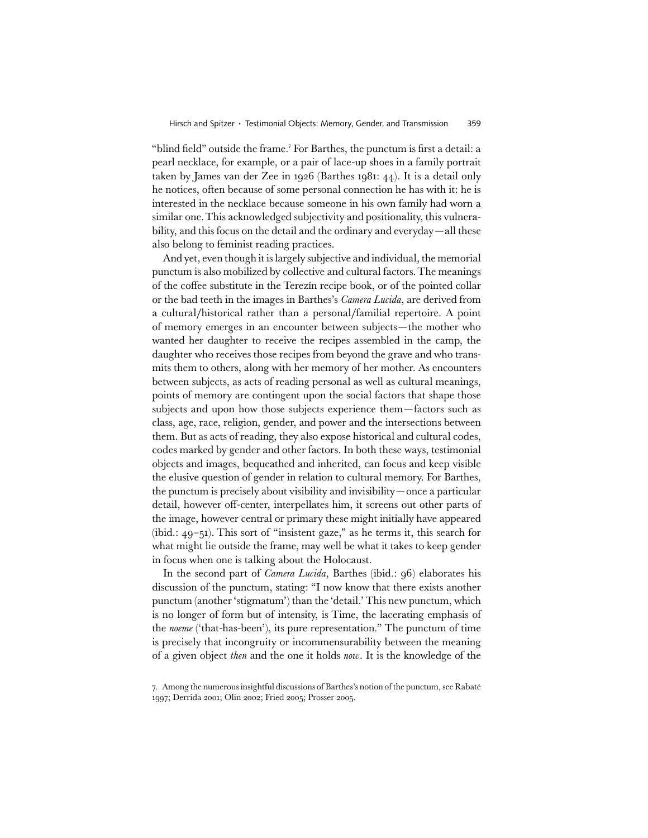''blind field'' outside the frame.7 For Barthes, the punctum is first a detail: a pearl necklace, for example, or a pair of lace-up shoes in a family portrait taken by James van der Zee in 1926 (Barthes 1981: 44). It is a detail only he notices, often because of some personal connection he has with it: he is interested in the necklace because someone in his own family had worn a similar one.This acknowledged subjectivity and positionality, this vulnerability, and this focus on the detail and the ordinary and everyday—all these also belong to feminist reading practices.

And yet, even though it is largely subjective and individual, the memorial punctum is also mobilized by collective and cultural factors.The meanings of the coffee substitute in the Terezín recipe book, or of the pointed collar or the bad teeth in the images in Barthes's Camera Lucida, are derived from a cultural/historical rather than a personal/familial repertoire. A point of memory emerges in an encounter between subjects—the mother who wanted her daughter to receive the recipes assembled in the camp, the daughter who receives those recipes from beyond the grave and who transmits them to others, along with her memory of her mother. As encounters between subjects, as acts of reading personal as well as cultural meanings, points of memory are contingent upon the social factors that shape those subjects and upon how those subjects experience them—factors such as class, age, race, religion, gender, and power and the intersections between them. But as acts of reading, they also expose historical and cultural codes, codes marked by gender and other factors. In both these ways, testimonial objects and images, bequeathed and inherited, can focus and keep visible the elusive question of gender in relation to cultural memory. For Barthes, the punctum is precisely about visibility and invisibility—once a particular detail, however off-center, interpellates him, it screens out other parts of the image, however central or primary these might initially have appeared (ibid.:  $49-51$ ). This sort of "insistent gaze," as he terms it, this search for what might lie outside the frame, may well be what it takes to keep gender in focus when one is talking about the Holocaust.

In the second part of *Camera Lucida*, Barthes (ibid.: 96) elaborates his discussion of the punctum, stating: ''I now know that there exists another punctum (another 'stigmatum') than the 'detail.' This new punctum, which is no longer of form but of intensity, is Time, the lacerating emphasis of the noeme ('that-has-been'), its pure representation.'' The punctum of time is precisely that incongruity or incommensurability between the meaning of a given object then and the one it holds now. It is the knowledge of the

<sup>7.</sup> Among the numerous insightful discussions of Barthes's notion of the punctum, see Rabaté 1997; Derrida 2001; Olin 2002; Fried 2005; Prosser 2005.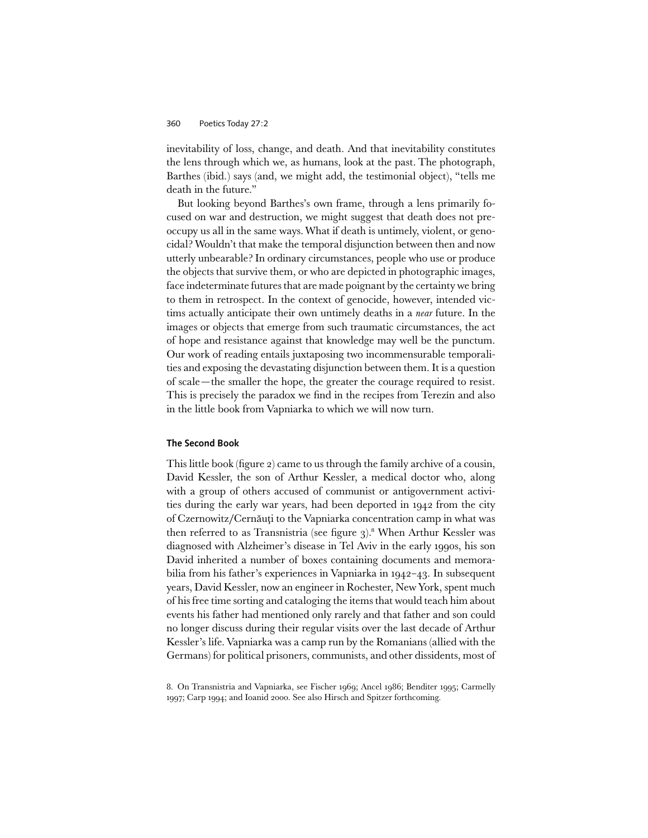inevitability of loss, change, and death. And that inevitability constitutes the lens through which we, as humans, look at the past. The photograph, Barthes (ibid.) says (and, we might add, the testimonial object), ''tells me death in the future.''

But looking beyond Barthes's own frame, through a lens primarily focused on war and destruction, we might suggest that death does not preoccupy us all in the same ways.What if death is untimely, violent, or genocidal? Wouldn't that make the temporal disjunction between then and now utterly unbearable? In ordinary circumstances, people who use or produce the objects that survive them, or who are depicted in photographic images, face indeterminate futures that are made poignant by the certainty we bring to them in retrospect. In the context of genocide, however, intended victims actually anticipate their own untimely deaths in a *near* future. In the images or objects that emerge from such traumatic circumstances, the act of hope and resistance against that knowledge may well be the punctum. Our work of reading entails juxtaposing two incommensurable temporalities and exposing the devastating disjunction between them. It is a question of scale—the smaller the hope, the greater the courage required to resist. This is precisely the paradox we find in the recipes from Terezín and also in the little book from Vapniarka to which we will now turn.

# The Second Book

This little book (figure 2) came to us through the family archive of a cousin, David Kessler, the son of Arthur Kessler, a medical doctor who, along with a group of others accused of communist or antigovernment activities during the early war years, had been deported in 1942 from the city of Czernowitz/Cernăuți to the Vapniarka concentration camp in what was then referred to as Transnistria (see figure 3).<sup>8</sup> When Arthur Kessler was diagnosed with Alzheimer's disease in Tel Aviv in the early 1990s, his son David inherited a number of boxes containing documents and memorabilia from his father's experiences in Vapniarka in 1942–43. In subsequent years, David Kessler, now an engineer in Rochester, New York, spent much of his free time sorting and cataloging the items that would teach him about events his father had mentioned only rarely and that father and son could no longer discuss during their regular visits over the last decade of Arthur Kessler's life. Vapniarka was a camp run by the Romanians (allied with the Germans) for political prisoners, communists, and other dissidents, most of

8. On Transnistria and Vapniarka, see Fischer 1969; Ancel 1986; Benditer 1995; Carmelly 1997; Carp 1994; and Ioanid 2000. See also Hirsch and Spitzer forthcoming.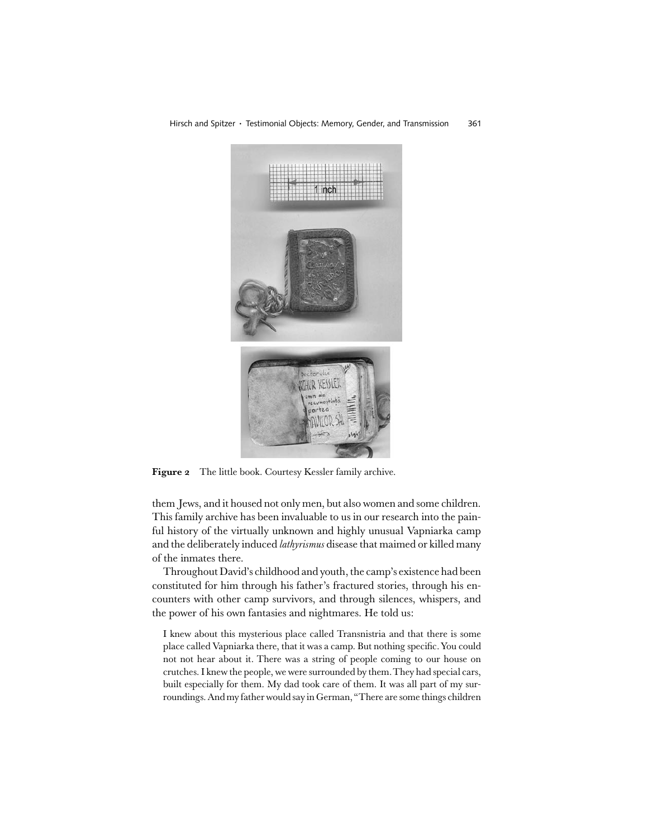

Figure 2 The little book. Courtesy Kessler family archive.

them Jews, and it housed not only men, but also women and some children. This family archive has been invaluable to us in our research into the painful history of the virtually unknown and highly unusual Vapniarka camp and the deliberately induced *lathyrismus* disease that maimed or killed many of the inmates there.

Throughout David's childhood and youth, the camp's existence had been constituted for him through his father's fractured stories, through his encounters with other camp survivors, and through silences, whispers, and the power of his own fantasies and nightmares. He told us:

I knew about this mysterious place called Transnistria and that there is some place called Vapniarka there, that it was a camp. But nothing specific.You could not not hear about it. There was a string of people coming to our house on crutches. I knew the people, we were surrounded by them.They had special cars, built especially for them. My dad took care of them. It was all part of my surroundings. And my father would say in German, ''There are some things children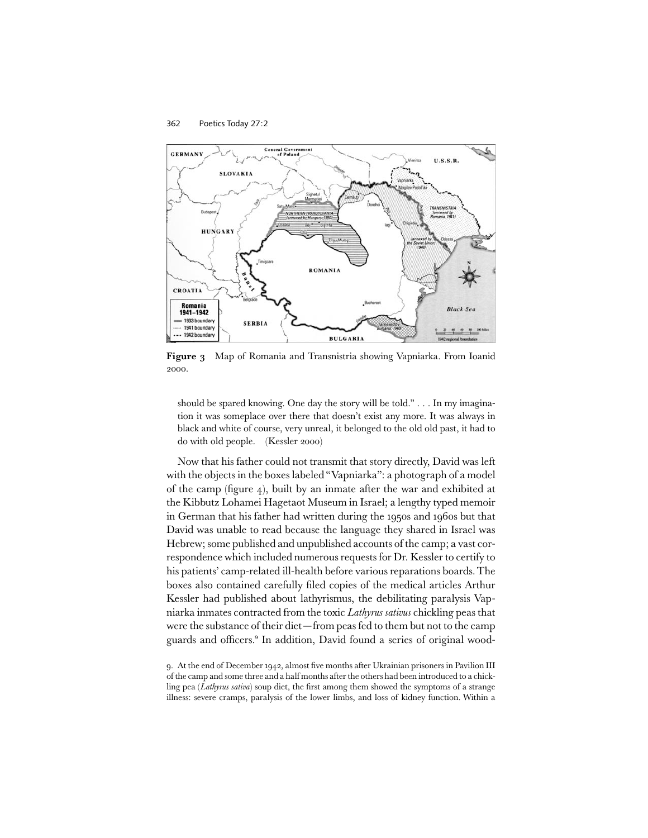

Figure 3 Map of Romania and Transnistria showing Vapniarka. From Ioanid 2000.

should be spared knowing. One day the story will be told.'' . . . In my imagination it was someplace over there that doesn't exist any more. It was always in black and white of course, very unreal, it belonged to the old old past, it had to do with old people. (Kessler 2000)

Now that his father could not transmit that story directly, David was left with the objects in the boxes labeled ''Vapniarka'': a photograph of a model of the camp (figure 4), built by an inmate after the war and exhibited at the Kibbutz Lohamei Hagetaot Museum in Israel; a lengthy typed memoir in German that his father had written during the 1950s and 1960s but that David was unable to read because the language they shared in Israel was Hebrew; some published and unpublished accounts of the camp; a vast correspondence which included numerous requests for Dr. Kessler to certify to his patients' camp-related ill-health before various reparations boards.The boxes also contained carefully filed copies of the medical articles Arthur Kessler had published about lathyrismus, the debilitating paralysis Vapniarka inmates contracted from the toxic Lathyrus sativus chickling peas that were the substance of their diet—from peas fed to them but not to the camp guards and officers.9 In addition, David found a series of original wood-

<sup>9.</sup> At the end of December 1942, almost five months after Ukrainian prisoners in Pavilion III of the camp and some three and a half months after the others had been introduced to a chickling pea (Lathyrus sativa) soup diet, the first among them showed the symptoms of a strange illness: severe cramps, paralysis of the lower limbs, and loss of kidney function. Within a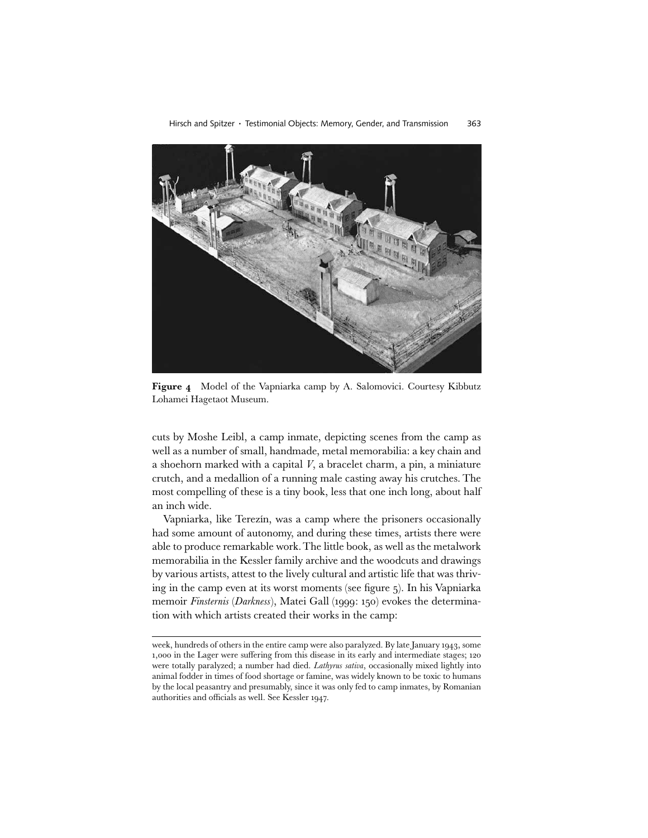

Figure 4 Model of the Vapniarka camp by A. Salomovici. Courtesy Kibbutz Lohamei Hagetaot Museum.

cuts by Moshe Leibl, a camp inmate, depicting scenes from the camp as well as a number of small, handmade, metal memorabilia: a key chain and a shoehorn marked with a capital  $V$ , a bracelet charm, a pin, a miniature crutch, and a medallion of a running male casting away his crutches. The most compelling of these is a tiny book, less that one inch long, about half an inch wide.

Vapniarka, like Terezín, was a camp where the prisoners occasionally had some amount of autonomy, and during these times, artists there were able to produce remarkable work.The little book, as well as the metalwork memorabilia in the Kessler family archive and the woodcuts and drawings by various artists, attest to the lively cultural and artistic life that was thriving in the camp even at its worst moments (see figure 5). In his Vapniarka memoir Finsternis (Darkness), Matei Gall (1999: 150) evokes the determination with which artists created their works in the camp:

week, hundreds of others in the entire camp were also paralyzed. By late January 1943, some 1,000 in the Lager were suffering from this disease in its early and intermediate stages; 120 were totally paralyzed; a number had died. Lathyrus sativa, occasionally mixed lightly into animal fodder in times of food shortage or famine, was widely known to be toxic to humans by the local peasantry and presumably, since it was only fed to camp inmates, by Romanian authorities and officials as well. See Kessler 1947.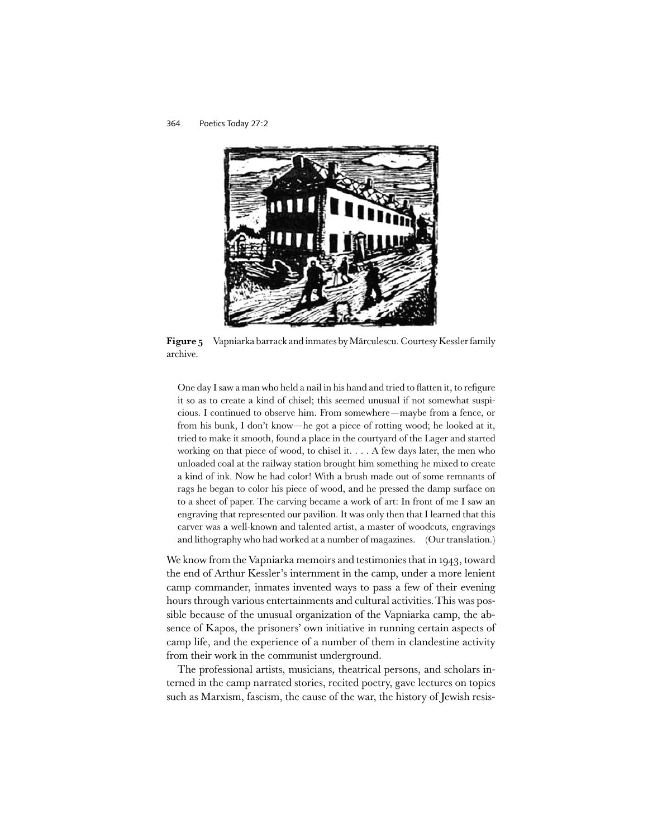

Figure 5 Vapniarka barrack and inmates by Mărculescu. Courtesy Kessler family archive.

One day I saw a man who held a nail in his hand and tried to flatten it, to refigure it so as to create a kind of chisel; this seemed unusual if not somewhat suspicious. I continued to observe him. From somewhere—maybe from a fence, or from his bunk, I don't know—he got a piece of rotting wood; he looked at it, tried to make it smooth, found a place in the courtyard of the Lager and started working on that piece of wood, to chisel it. . . . A few days later, the men who unloaded coal at the railway station brought him something he mixed to create a kind of ink. Now he had color! With a brush made out of some remnants of rags he began to color his piece of wood, and he pressed the damp surface on to a sheet of paper. The carving became a work of art: In front of me I saw an engraving that represented our pavilion. It was only then that I learned that this carver was a well-known and talented artist, a master of woodcuts, engravings and lithography who had worked at a number of magazines. (Our translation.)

We know from the Vapniarka memoirs and testimonies that in 1943, toward the end of Arthur Kessler's internment in the camp, under a more lenient camp commander, inmates invented ways to pass a few of their evening hours through various entertainments and cultural activities.This was possible because of the unusual organization of the Vapniarka camp, the absence of Kapos, the prisoners' own initiative in running certain aspects of camp life, and the experience of a number of them in clandestine activity from their work in the communist underground.

The professional artists, musicians, theatrical persons, and scholars interned in the camp narrated stories, recited poetry, gave lectures on topics such as Marxism, fascism, the cause of the war, the history of Jewish resis-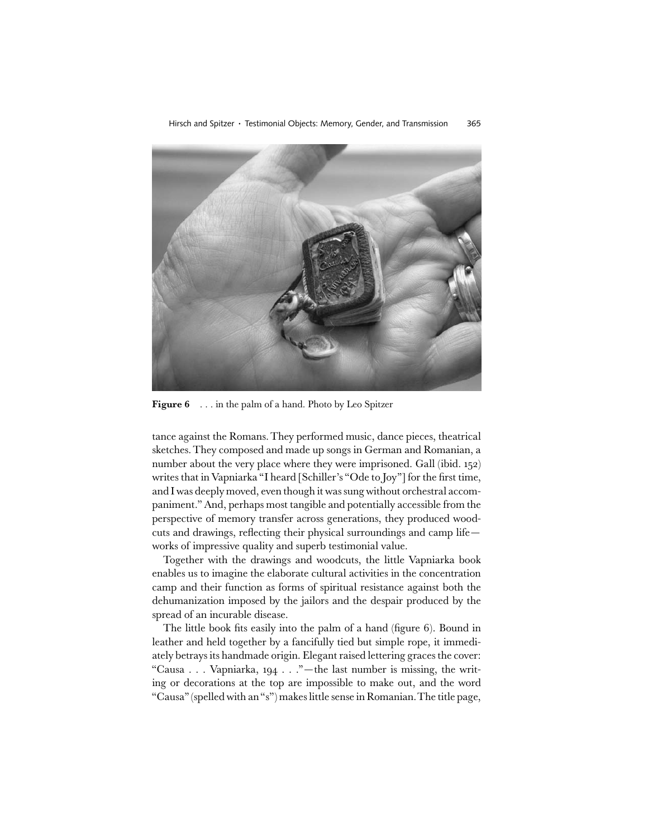

Figure 6 . . . in the palm of a hand. Photo by Leo Spitzer

tance against the Romans.They performed music, dance pieces, theatrical sketches.They composed and made up songs in German and Romanian, a number about the very place where they were imprisoned. Gall (ibid. 152) writes that in Vapniarka "I heard [Schiller's "Ode to Joy"] for the first time, and I was deeply moved, even though it was sung without orchestral accompaniment.'' And, perhaps most tangible and potentially accessible from the perspective of memory transfer across generations, they produced woodcuts and drawings, reflecting their physical surroundings and camp life works of impressive quality and superb testimonial value.

Together with the drawings and woodcuts, the little Vapniarka book enables us to imagine the elaborate cultural activities in the concentration camp and their function as forms of spiritual resistance against both the dehumanization imposed by the jailors and the despair produced by the spread of an incurable disease.

The little book fits easily into the palm of a hand (figure 6). Bound in leather and held together by a fancifully tied but simple rope, it immediately betrays its handmade origin. Elegant raised lettering graces the cover: ''Causa . . . Vapniarka, 194 . . .''—the last number is missing, the writing or decorations at the top are impossible to make out, and the word ''Causa'' (spelled with an ''s'') makes little sense in Romanian.The title page,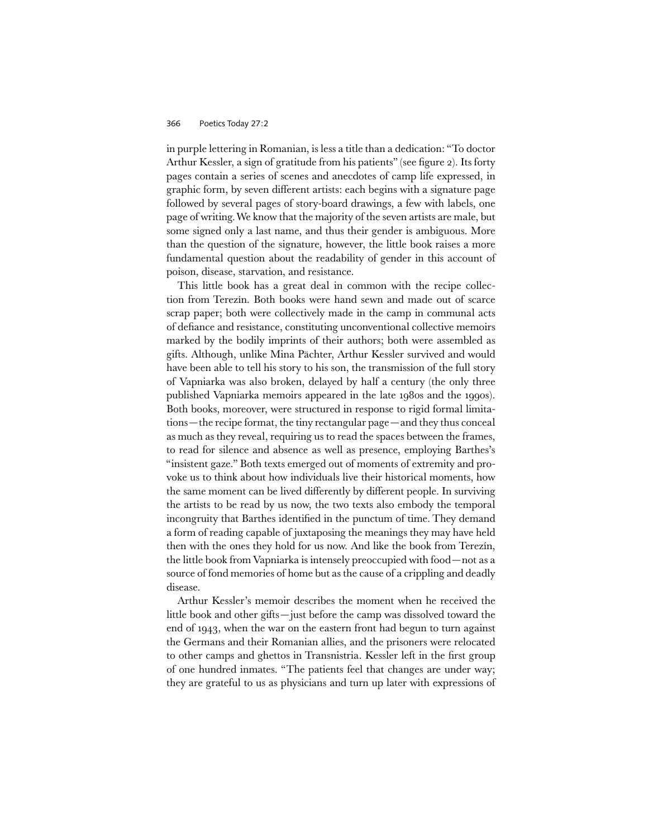in purple lettering in Romanian, is less a title than a dedication: ''To doctor Arthur Kessler, a sign of gratitude from his patients'' (see figure 2). Its forty pages contain a series of scenes and anecdotes of camp life expressed, in graphic form, by seven different artists: each begins with a signature page followed by several pages of story-board drawings, a few with labels, one page of writing.We know that the majority of the seven artists are male, but some signed only a last name, and thus their gender is ambiguous. More than the question of the signature, however, the little book raises a more fundamental question about the readability of gender in this account of poison, disease, starvation, and resistance.

This little book has a great deal in common with the recipe collection from Terezín. Both books were hand sewn and made out of scarce scrap paper; both were collectively made in the camp in communal acts of defiance and resistance, constituting unconventional collective memoirs marked by the bodily imprints of their authors; both were assembled as gifts. Although, unlike Mina Pächter, Arthur Kessler survived and would have been able to tell his story to his son, the transmission of the full story of Vapniarka was also broken, delayed by half a century (the only three published Vapniarka memoirs appeared in the late 1980s and the 1990s). Both books, moreover, were structured in response to rigid formal limitations—the recipe format, the tiny rectangular page—and they thus conceal as much as they reveal, requiring us to read the spaces between the frames, to read for silence and absence as well as presence, employing Barthes's ''insistent gaze.'' Both texts emerged out of moments of extremity and provoke us to think about how individuals live their historical moments, how the same moment can be lived differently by different people. In surviving the artists to be read by us now, the two texts also embody the temporal incongruity that Barthes identified in the punctum of time. They demand a form of reading capable of juxtaposing the meanings they may have held then with the ones they hold for us now. And like the book from Terezín, the little book from Vapniarka is intensely preoccupied with food—not as a source of fond memories of home but as the cause of a crippling and deadly disease.

Arthur Kessler's memoir describes the moment when he received the little book and other gifts—just before the camp was dissolved toward the end of 1943, when the war on the eastern front had begun to turn against the Germans and their Romanian allies, and the prisoners were relocated to other camps and ghettos in Transnistria. Kessler left in the first group of one hundred inmates. ''The patients feel that changes are under way; they are grateful to us as physicians and turn up later with expressions of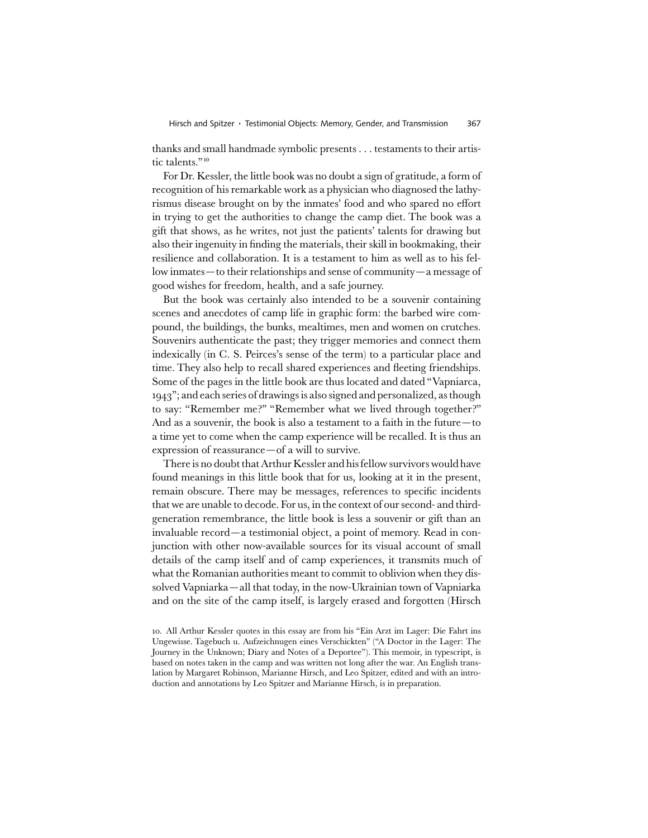thanks and small handmade symbolic presents . . . testaments to their artistic talents."<sup>10</sup>

For Dr. Kessler, the little book was no doubt a sign of gratitude, a form of recognition of his remarkable work as a physician who diagnosed the lathyrismus disease brought on by the inmates' food and who spared no effort in trying to get the authorities to change the camp diet. The book was a gift that shows, as he writes, not just the patients' talents for drawing but also their ingenuity in finding the materials, their skill in bookmaking, their resilience and collaboration. It is a testament to him as well as to his fellow inmates—to their relationships and sense of community—a message of good wishes for freedom, health, and a safe journey.

But the book was certainly also intended to be a souvenir containing scenes and anecdotes of camp life in graphic form: the barbed wire compound, the buildings, the bunks, mealtimes, men and women on crutches. Souvenirs authenticate the past; they trigger memories and connect them indexically (in C. S. Peirces's sense of the term) to a particular place and time. They also help to recall shared experiences and fleeting friendships. Some of the pages in the little book are thus located and dated ''Vapniarca, 1943''; and each series of drawings is also signed and personalized, as though to say: "Remember me?" "Remember what we lived through together?" And as a souvenir, the book is also a testament to a faith in the future—to a time yet to come when the camp experience will be recalled. It is thus an expression of reassurance—of a will to survive.

There is no doubt that Arthur Kessler and his fellow survivors would have found meanings in this little book that for us, looking at it in the present, remain obscure. There may be messages, references to specific incidents that we are unable to decode. For us, in the context of our second- and thirdgeneration remembrance, the little book is less a souvenir or gift than an invaluable record—a testimonial object, a point of memory. Read in conjunction with other now-available sources for its visual account of small details of the camp itself and of camp experiences, it transmits much of what the Romanian authorities meant to commit to oblivion when they dissolved Vapniarka—all that today, in the now-Ukrainian town of Vapniarka and on the site of the camp itself, is largely erased and forgotten (Hirsch

<sup>10.</sup> All Arthur Kessler quotes in this essay are from his ''Ein Arzt im Lager: Die Fahrt ins Ungewisse. Tagebuch u. Aufzeichnugen eines Verschickten'' (''A Doctor in the Lager: The Journey in the Unknown; Diary and Notes of a Deportee''). This memoir, in typescript, is based on notes taken in the camp and was written not long after the war. An English translation by Margaret Robinson, Marianne Hirsch, and Leo Spitzer, edited and with an introduction and annotations by Leo Spitzer and Marianne Hirsch, is in preparation.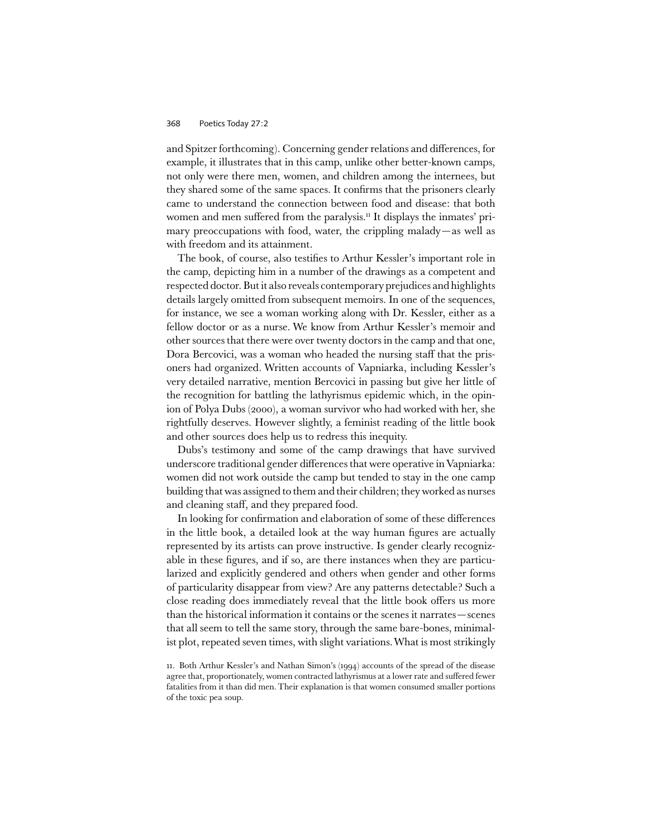and Spitzer forthcoming). Concerning gender relations and differences, for example, it illustrates that in this camp, unlike other better-known camps, not only were there men, women, and children among the internees, but they shared some of the same spaces. It confirms that the prisoners clearly came to understand the connection between food and disease: that both women and men suffered from the paralysis.<sup>11</sup> It displays the inmates' primary preoccupations with food, water, the crippling malady—as well as with freedom and its attainment.

The book, of course, also testifies to Arthur Kessler's important role in the camp, depicting him in a number of the drawings as a competent and respected doctor. But it also reveals contemporary prejudices and highlights details largely omitted from subsequent memoirs. In one of the sequences, for instance, we see a woman working along with Dr. Kessler, either as a fellow doctor or as a nurse. We know from Arthur Kessler's memoir and other sources that there were over twenty doctors in the camp and that one, Dora Bercovici, was a woman who headed the nursing staff that the prisoners had organized. Written accounts of Vapniarka, including Kessler's very detailed narrative, mention Bercovici in passing but give her little of the recognition for battling the lathyrismus epidemic which, in the opinion of Polya Dubs (2000), a woman survivor who had worked with her, she rightfully deserves. However slightly, a feminist reading of the little book and other sources does help us to redress this inequity.

Dubs's testimony and some of the camp drawings that have survived underscore traditional gender differences that were operative in Vapniarka: women did not work outside the camp but tended to stay in the one camp building that was assigned to them and their children; they worked as nurses and cleaning staff, and they prepared food.

In looking for confirmation and elaboration of some of these differences in the little book, a detailed look at the way human figures are actually represented by its artists can prove instructive. Is gender clearly recognizable in these figures, and if so, are there instances when they are particularized and explicitly gendered and others when gender and other forms of particularity disappear from view? Are any patterns detectable? Such a close reading does immediately reveal that the little book offers us more than the historical information it contains or the scenes it narrates—scenes that all seem to tell the same story, through the same bare-bones, minimalist plot, repeated seven times, with slight variations.What is most strikingly

<sup>11.</sup> Both Arthur Kessler's and Nathan Simon's (1994) accounts of the spread of the disease agree that, proportionately, women contracted lathyrismus at a lower rate and suffered fewer fatalities from it than did men. Their explanation is that women consumed smaller portions of the toxic pea soup.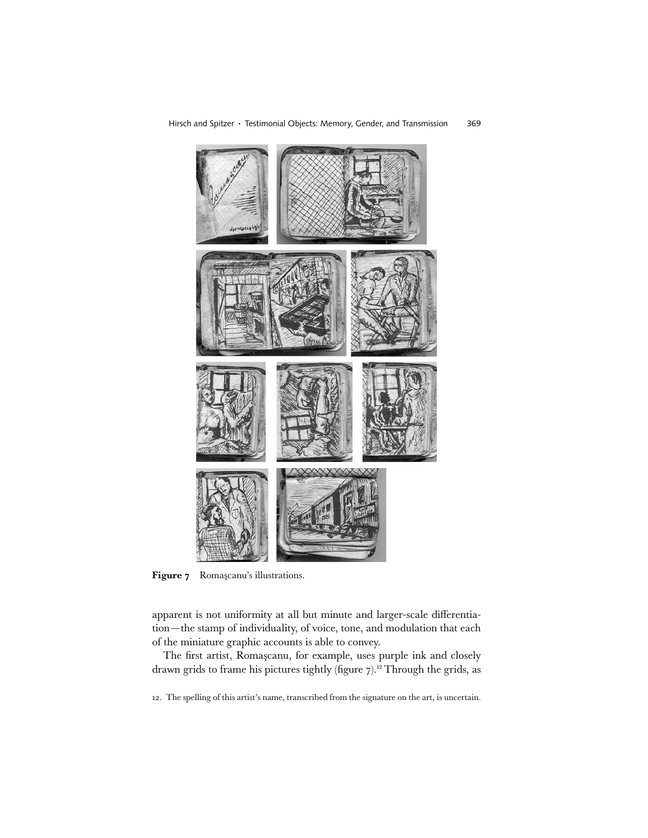

Figure 7 Romascanu's illustrations.

apparent is not uniformity at all but minute and larger-scale differentiation—the stamp of individuality, of voice, tone, and modulation that each of the miniature graphic accounts is able to convey.

The first artist, Romașcanu, for example, uses purple ink and closely drawn grids to frame his pictures tightly (figure 7).<sup>12</sup> Through the grids, as

12. The spelling of this artist's name, transcribed from the signature on the art, is uncertain.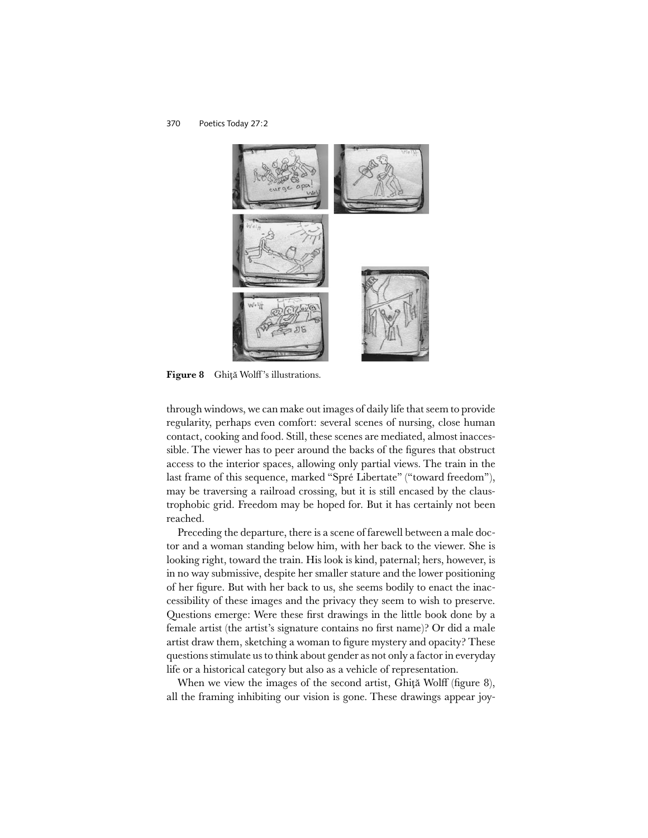

Figure 8 Ghită Wolff's illustrations.

through windows, we can make out images of daily life that seem to provide regularity, perhaps even comfort: several scenes of nursing, close human contact, cooking and food. Still, these scenes are mediated, almost inaccessible. The viewer has to peer around the backs of the figures that obstruct access to the interior spaces, allowing only partial views. The train in the last frame of this sequence, marked "Spré Libertate" ("toward freedom"), may be traversing a railroad crossing, but it is still encased by the claustrophobic grid. Freedom may be hoped for. But it has certainly not been reached.

Preceding the departure, there is a scene of farewell between a male doctor and a woman standing below him, with her back to the viewer. She is looking right, toward the train. His look is kind, paternal; hers, however, is in no way submissive, despite her smaller stature and the lower positioning of her figure. But with her back to us, she seems bodily to enact the inaccessibility of these images and the privacy they seem to wish to preserve. Questions emerge: Were these first drawings in the little book done by a female artist (the artist's signature contains no first name)? Or did a male artist draw them, sketching a woman to figure mystery and opacity? These questions stimulate us to think about gender as not only a factor in everyday life or a historical category but also as a vehicle of representation.

When we view the images of the second artist, Ghiță Wolff (figure 8), all the framing inhibiting our vision is gone. These drawings appear joy-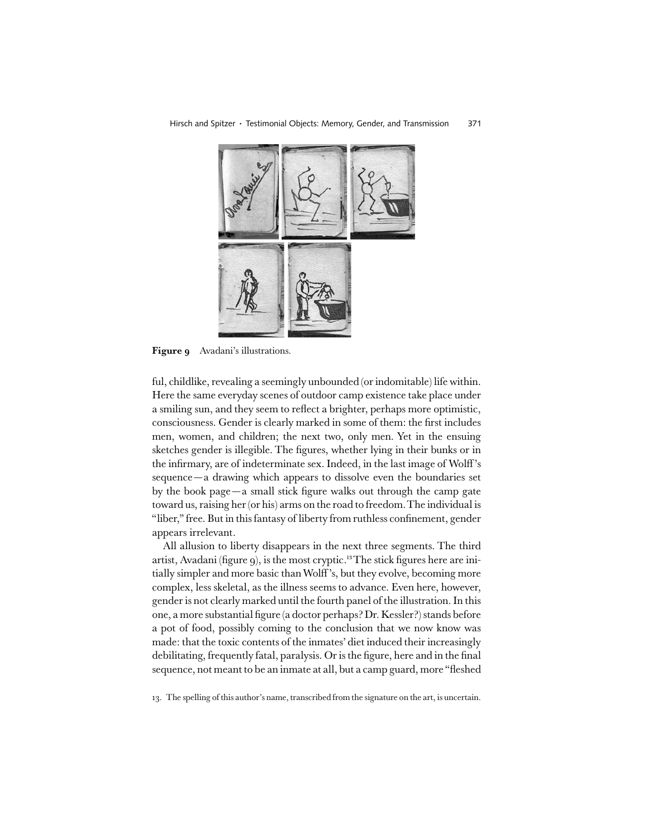

Figure 9 Avadani's illustrations.

ful, childlike, revealing a seemingly unbounded (or indomitable) life within. Here the same everyday scenes of outdoor camp existence take place under a smiling sun, and they seem to reflect a brighter, perhaps more optimistic, consciousness. Gender is clearly marked in some of them: the first includes men, women, and children; the next two, only men. Yet in the ensuing sketches gender is illegible. The figures, whether lying in their bunks or in the infirmary, are of indeterminate sex. Indeed, in the last image of Wolff 's sequence—a drawing which appears to dissolve even the boundaries set by the book page—a small stick figure walks out through the camp gate toward us, raising her (or his) arms on the road to freedom.The individual is "liber," free. But in this fantasy of liberty from ruthless confinement, gender appears irrelevant.

All allusion to liberty disappears in the next three segments. The third artist, Avadani (figure 9), is the most cryptic.<sup>13</sup>The stick figures here are initially simpler and more basic than Wolff 's, but they evolve, becoming more complex, less skeletal, as the illness seems to advance. Even here, however, gender is not clearly marked until the fourth panel of the illustration. In this one, a more substantial figure (a doctor perhaps? Dr. Kessler?) stands before a pot of food, possibly coming to the conclusion that we now know was made: that the toxic contents of the inmates' diet induced their increasingly debilitating, frequently fatal, paralysis. Or is the figure, here and in the final sequence, not meant to be an inmate at all, but a camp guard, more ''fleshed

13. The spelling of this author's name, transcribed from the signature on the art, is uncertain.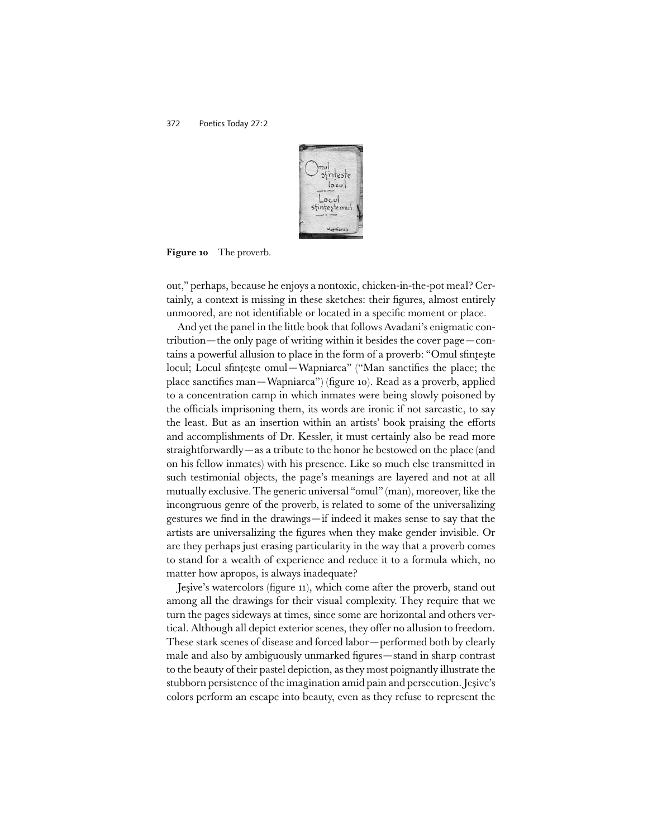

Figure 10 The proverb.

out,'' perhaps, because he enjoys a nontoxic, chicken-in-the-pot meal? Certainly, a context is missing in these sketches: their figures, almost entirely unmoored, are not identifiable or located in a specific moment or place.

And yet the panel in the little book that follows Avadani's enigmatic contribution—the only page of writing within it besides the cover page—contains a powerful allusion to place in the form of a proverb: "Omul sfinteste locul; Locul sfintește omul—Wapniarca" ("Man sanctifies the place; the place sanctifies man—Wapniarca'') (figure 10). Read as a proverb, applied to a concentration camp in which inmates were being slowly poisoned by the officials imprisoning them, its words are ironic if not sarcastic, to say the least. But as an insertion within an artists' book praising the efforts and accomplishments of Dr. Kessler, it must certainly also be read more straightforwardly—as a tribute to the honor he bestowed on the place (and on his fellow inmates) with his presence. Like so much else transmitted in such testimonial objects, the page's meanings are layered and not at all mutually exclusive. The generic universal "omul" (man), moreover, like the incongruous genre of the proverb, is related to some of the universalizing gestures we find in the drawings—if indeed it makes sense to say that the artists are universalizing the figures when they make gender invisible. Or are they perhaps just erasing particularity in the way that a proverb comes to stand for a wealth of experience and reduce it to a formula which, no matter how apropos, is always inadequate?

Jesive's watercolors (figure 11), which come after the proverb, stand out among all the drawings for their visual complexity. They require that we turn the pages sideways at times, since some are horizontal and others vertical. Although all depict exterior scenes, they offer no allusion to freedom. These stark scenes of disease and forced labor—performed both by clearly male and also by ambiguously unmarked figures—stand in sharp contrast to the beauty of their pastel depiction, as they most poignantly illustrate the stubborn persistence of the imagination amid pain and persecution. Jesive's colors perform an escape into beauty, even as they refuse to represent the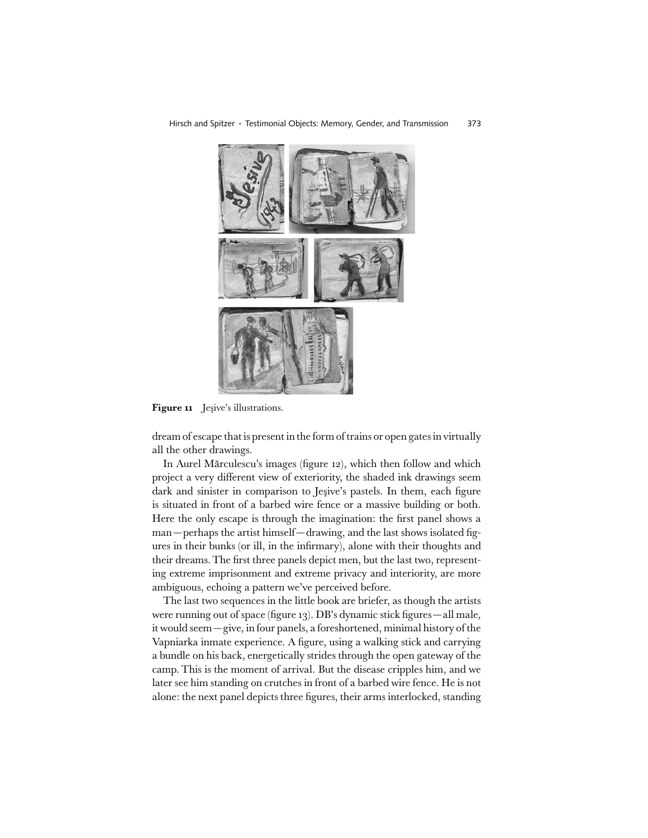

Figure 11 Jesive's illustrations.

dream of escape that is present in the form of trains or open gates in virtually all the other drawings.

In Aurel Mărculescu's images (figure 12), which then follow and which project a very different view of exteriority, the shaded ink drawings seem dark and sinister in comparison to Jesive's pastels. In them, each figure is situated in front of a barbed wire fence or a massive building or both. Here the only escape is through the imagination: the first panel shows a man—perhaps the artist himself—drawing, and the last shows isolated figures in their bunks (or ill, in the infirmary), alone with their thoughts and their dreams.The first three panels depict men, but the last two, representing extreme imprisonment and extreme privacy and interiority, are more ambiguous, echoing a pattern we've perceived before.

The last two sequences in the little book are briefer, as though the artists were running out of space (figure 13). DB's dynamic stick figures—all male, it would seem—give, in four panels, a foreshortened, minimal history of the Vapniarka inmate experience. A figure, using a walking stick and carrying a bundle on his back, energetically strides through the open gateway of the camp. This is the moment of arrival. But the disease cripples him, and we later see him standing on crutches in front of a barbed wire fence. He is not alone: the next panel depicts three figures, their arms interlocked, standing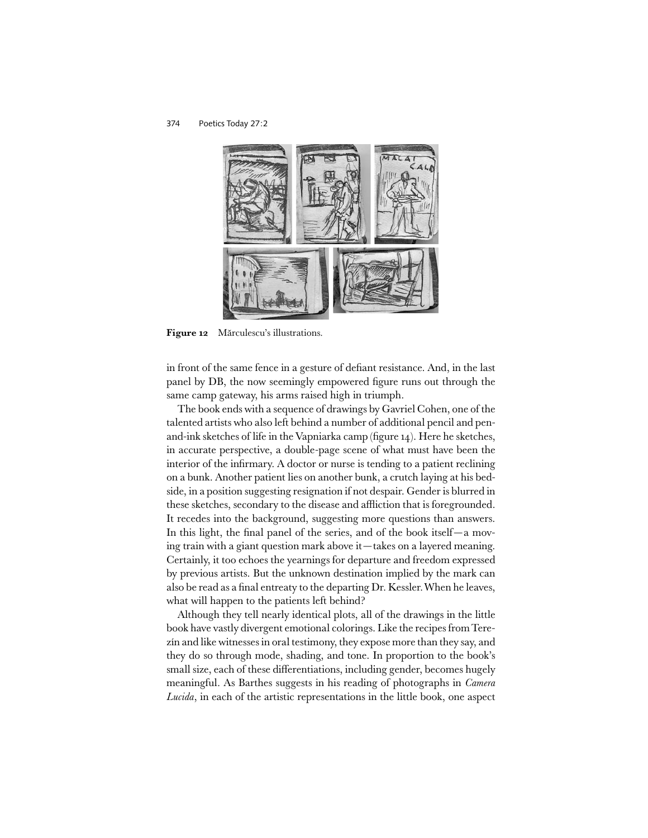

Figure 12 Mărculescu's illustrations.

in front of the same fence in a gesture of defiant resistance. And, in the last panel by DB, the now seemingly empowered figure runs out through the same camp gateway, his arms raised high in triumph.

The book ends with a sequence of drawings by Gavriel Cohen, one of the talented artists who also left behind a number of additional pencil and penand-ink sketches of life in the Vapniarka camp (figure 14). Here he sketches, in accurate perspective, a double-page scene of what must have been the interior of the infirmary. A doctor or nurse is tending to a patient reclining on a bunk. Another patient lies on another bunk, a crutch laying at his bedside, in a position suggesting resignation if not despair. Gender is blurred in these sketches, secondary to the disease and affliction that is foregrounded. It recedes into the background, suggesting more questions than answers. In this light, the final panel of the series, and of the book itself—a moving train with a giant question mark above it—takes on a layered meaning. Certainly, it too echoes the yearnings for departure and freedom expressed by previous artists. But the unknown destination implied by the mark can also be read as a final entreaty to the departing Dr. Kessler.When he leaves, what will happen to the patients left behind?

Although they tell nearly identical plots, all of the drawings in the little book have vastly divergent emotional colorings. Like the recipes from Terezín and like witnesses in oral testimony, they expose more than they say, and they do so through mode, shading, and tone. In proportion to the book's small size, each of these differentiations, including gender, becomes hugely meaningful. As Barthes suggests in his reading of photographs in Camera Lucida, in each of the artistic representations in the little book, one aspect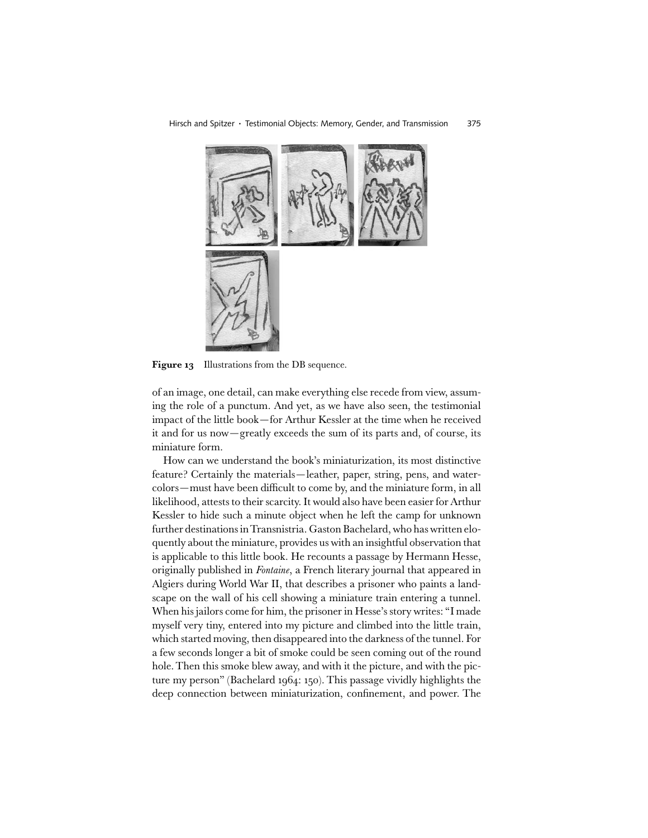

Figure 13 Illustrations from the DB sequence.

of an image, one detail, can make everything else recede from view, assuming the role of a punctum. And yet, as we have also seen, the testimonial impact of the little book—for Arthur Kessler at the time when he received it and for us now—greatly exceeds the sum of its parts and, of course, its miniature form.

How can we understand the book's miniaturization, its most distinctive feature? Certainly the materials—leather, paper, string, pens, and watercolors—must have been difficult to come by, and the miniature form, in all likelihood, attests to their scarcity. It would also have been easier for Arthur Kessler to hide such a minute object when he left the camp for unknown further destinations inTransnistria. Gaston Bachelard, who has written eloquently about the miniature, provides us with an insightful observation that is applicable to this little book. He recounts a passage by Hermann Hesse, originally published in *Fontaine*, a French literary journal that appeared in Algiers during World War II, that describes a prisoner who paints a landscape on the wall of his cell showing a miniature train entering a tunnel. When his jailors come for him, the prisoner in Hesse's story writes: ''I made myself very tiny, entered into my picture and climbed into the little train, which started moving, then disappeared into the darkness of the tunnel. For a few seconds longer a bit of smoke could be seen coming out of the round hole. Then this smoke blew away, and with it the picture, and with the picture my person'' (Bachelard 1964: 150). This passage vividly highlights the deep connection between miniaturization, confinement, and power. The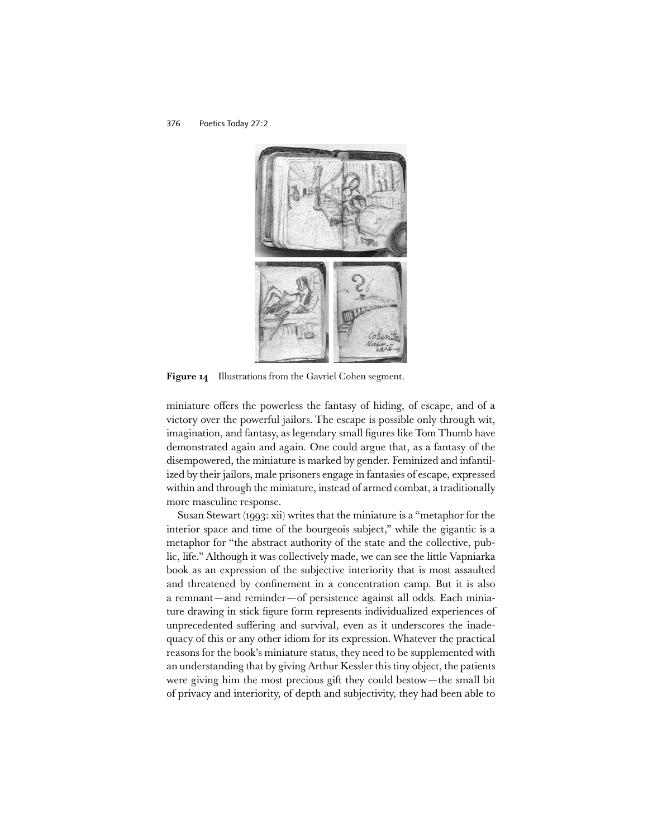

Figure 14 Illustrations from the Gavriel Cohen segment.

miniature offers the powerless the fantasy of hiding, of escape, and of a victory over the powerful jailors. The escape is possible only through wit, imagination, and fantasy, as legendary small figures like Tom Thumb have demonstrated again and again. One could argue that, as a fantasy of the disempowered, the miniature is marked by gender. Feminized and infantilized by their jailors, male prisoners engage in fantasies of escape, expressed within and through the miniature, instead of armed combat, a traditionally more masculine response.

Susan Stewart (1993: xii) writes that the miniature is a ''metaphor for the interior space and time of the bourgeois subject," while the gigantic is a metaphor for "the abstract authority of the state and the collective, public, life.'' Although it was collectively made, we can see the little Vapniarka book as an expression of the subjective interiority that is most assaulted and threatened by confinement in a concentration camp. But it is also a remnant—and reminder—of persistence against all odds. Each miniature drawing in stick figure form represents individualized experiences of unprecedented suffering and survival, even as it underscores the inadequacy of this or any other idiom for its expression. Whatever the practical reasons for the book's miniature status, they need to be supplemented with an understanding that by giving Arthur Kessler this tiny object, the patients were giving him the most precious gift they could bestow—the small bit of privacy and interiority, of depth and subjectivity, they had been able to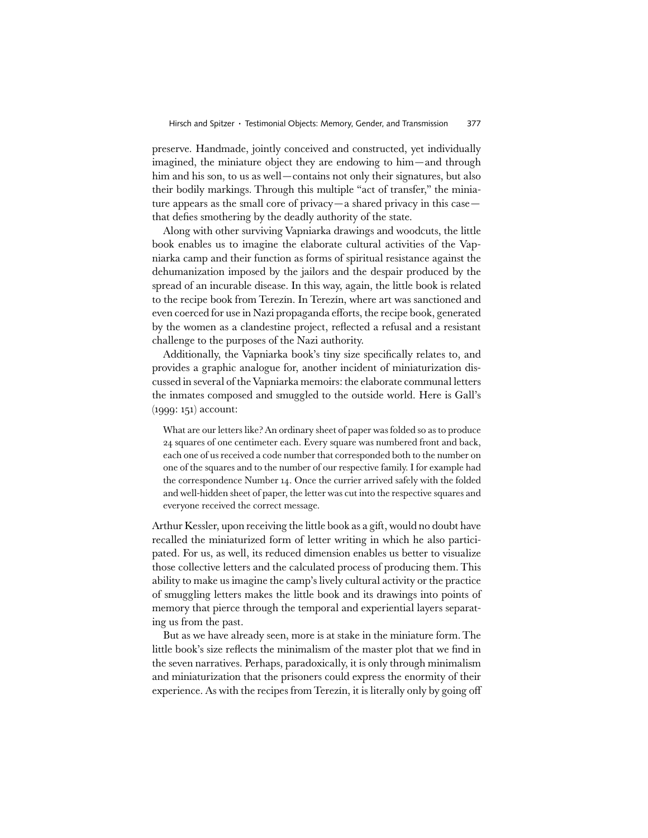preserve. Handmade, jointly conceived and constructed, yet individually imagined, the miniature object they are endowing to him—and through him and his son, to us as well—contains not only their signatures, but also their bodily markings. Through this multiple "act of transfer," the miniature appears as the small core of privacy—a shared privacy in this case that defies smothering by the deadly authority of the state.

Along with other surviving Vapniarka drawings and woodcuts, the little book enables us to imagine the elaborate cultural activities of the Vapniarka camp and their function as forms of spiritual resistance against the dehumanization imposed by the jailors and the despair produced by the spread of an incurable disease. In this way, again, the little book is related to the recipe book from Terezín. In Terezín, where art was sanctioned and even coerced for use in Nazi propaganda efforts, the recipe book, generated by the women as a clandestine project, reflected a refusal and a resistant challenge to the purposes of the Nazi authority.

Additionally, the Vapniarka book's tiny size specifically relates to, and provides a graphic analogue for, another incident of miniaturization discussed in several of the Vapniarka memoirs: the elaborate communal letters the inmates composed and smuggled to the outside world. Here is Gall's (1999: 151) account:

What are our letters like? An ordinary sheet of paper was folded so as to produce 24 squares of one centimeter each. Every square was numbered front and back, each one of us received a code number that corresponded both to the number on one of the squares and to the number of our respective family. I for example had the correspondence Number 14. Once the currier arrived safely with the folded and well-hidden sheet of paper, the letter was cut into the respective squares and everyone received the correct message.

Arthur Kessler, upon receiving the little book as a gift, would no doubt have recalled the miniaturized form of letter writing in which he also participated. For us, as well, its reduced dimension enables us better to visualize those collective letters and the calculated process of producing them. This ability to make us imagine the camp's lively cultural activity or the practice of smuggling letters makes the little book and its drawings into points of memory that pierce through the temporal and experiential layers separating us from the past.

But as we have already seen, more is at stake in the miniature form. The little book's size reflects the minimalism of the master plot that we find in the seven narratives. Perhaps, paradoxically, it is only through minimalism and miniaturization that the prisoners could express the enormity of their experience. As with the recipes from Terezín, it is literally only by going off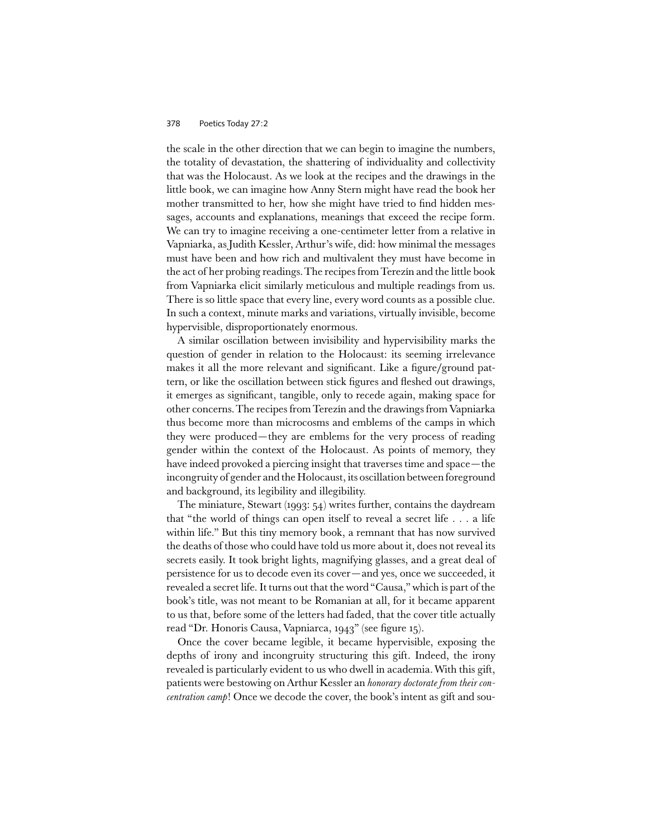the scale in the other direction that we can begin to imagine the numbers, the totality of devastation, the shattering of individuality and collectivity that was the Holocaust. As we look at the recipes and the drawings in the little book, we can imagine how Anny Stern might have read the book her mother transmitted to her, how she might have tried to find hidden messages, accounts and explanations, meanings that exceed the recipe form. We can try to imagine receiving a one-centimeter letter from a relative in Vapniarka, as Judith Kessler, Arthur's wife, did: how minimal the messages must have been and how rich and multivalent they must have become in the act of her probing readings.The recipes from Terezín and the little book from Vapniarka elicit similarly meticulous and multiple readings from us. There is so little space that every line, every word counts as a possible clue. In such a context, minute marks and variations, virtually invisible, become hypervisible, disproportionately enormous.

A similar oscillation between invisibility and hypervisibility marks the question of gender in relation to the Holocaust: its seeming irrelevance makes it all the more relevant and significant. Like a figure/ground pattern, or like the oscillation between stick figures and fleshed out drawings, it emerges as significant, tangible, only to recede again, making space for other concerns.The recipes from Terezín and the drawings from Vapniarka thus become more than microcosms and emblems of the camps in which they were produced—they are emblems for the very process of reading gender within the context of the Holocaust. As points of memory, they have indeed provoked a piercing insight that traverses time and space—the incongruity of gender and the Holocaust, its oscillation between foreground and background, its legibility and illegibility.

The miniature, Stewart (1993: 54) writes further, contains the daydream that ''the world of things can open itself to reveal a secret life . . . a life within life.'' But this tiny memory book, a remnant that has now survived the deaths of those who could have told us more about it, does not reveal its secrets easily. It took bright lights, magnifying glasses, and a great deal of persistence for us to decode even its cover—and yes, once we succeeded, it revealed a secret life. It turns out that the word ''Causa,'' which is part of the book's title, was not meant to be Romanian at all, for it became apparent to us that, before some of the letters had faded, that the cover title actually read "Dr. Honoris Causa, Vapniarca, 1943" (see figure 15).

Once the cover became legible, it became hypervisible, exposing the depths of irony and incongruity structuring this gift. Indeed, the irony revealed is particularly evident to us who dwell in academia.With this gift, patients were bestowing on Arthur Kessler an honorary doctorate from their concentration camp! Once we decode the cover, the book's intent as gift and sou-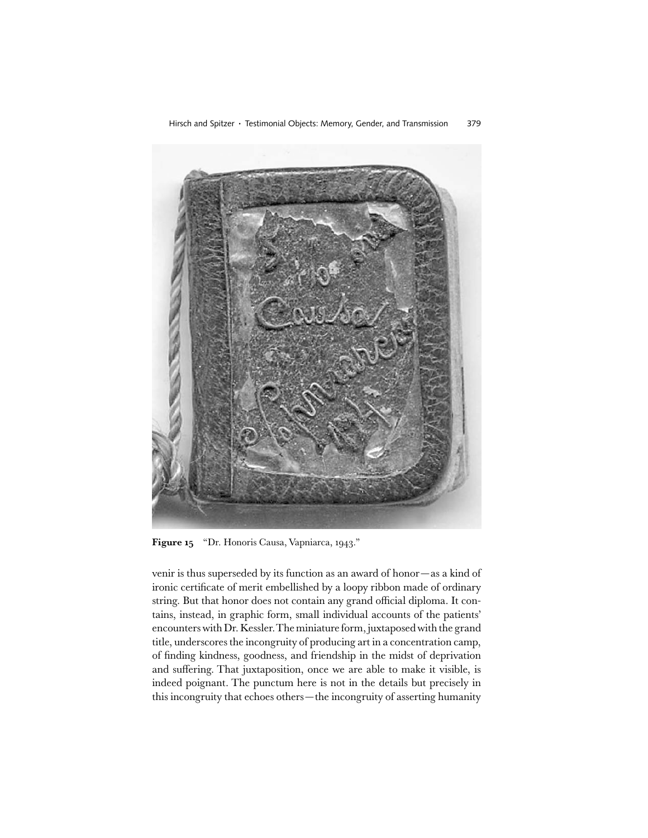

Figure 15 ''Dr. Honoris Causa, Vapniarca, 1943.''

venir is thus superseded by its function as an award of honor—as a kind of ironic certificate of merit embellished by a loopy ribbon made of ordinary string. But that honor does not contain any grand official diploma. It contains, instead, in graphic form, small individual accounts of the patients' encounters with Dr. Kessler.The miniature form, juxtaposed with the grand title, underscores the incongruity of producing art in a concentration camp, of finding kindness, goodness, and friendship in the midst of deprivation and suffering. That juxtaposition, once we are able to make it visible, is indeed poignant. The punctum here is not in the details but precisely in this incongruity that echoes others—the incongruity of asserting humanity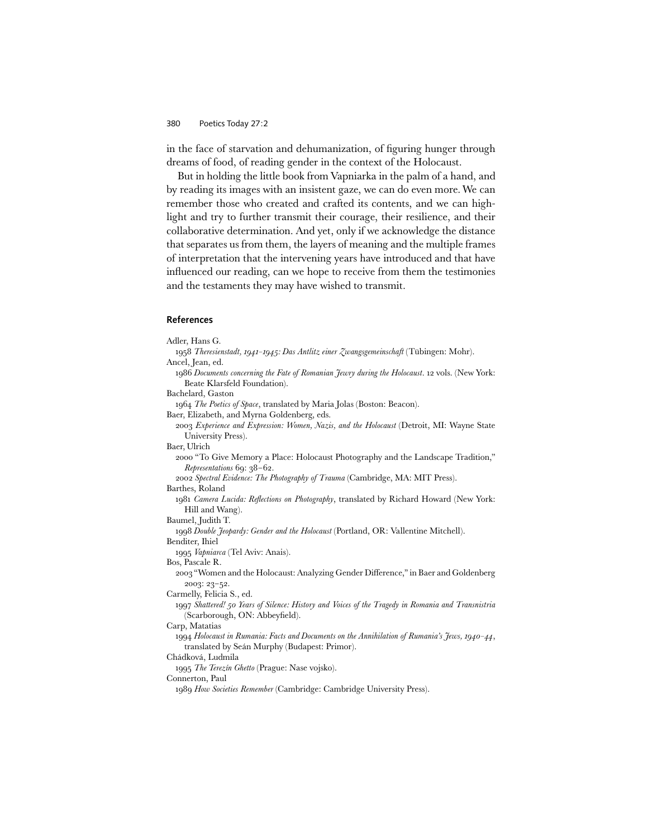in the face of starvation and dehumanization, of figuring hunger through dreams of food, of reading gender in the context of the Holocaust.

But in holding the little book from Vapniarka in the palm of a hand, and by reading its images with an insistent gaze, we can do even more. We can remember those who created and crafted its contents, and we can highlight and try to further transmit their courage, their resilience, and their collaborative determination. And yet, only if we acknowledge the distance that separates us from them, the layers of meaning and the multiple frames of interpretation that the intervening years have introduced and that have influenced our reading, can we hope to receive from them the testimonies and the testaments they may have wished to transmit.

## References

| Adler, Hans G.                                                                                     |
|----------------------------------------------------------------------------------------------------|
| 1958 Theresienstadt, 1941–1945: Das Antlitz einer Zwangsgemeinschaft (Tübingen: Mohr).             |
| Ancel, Jean, ed.                                                                                   |
| 1986 Documents concerning the Fate of Romanian Jewry during the Holocaust. 12 vols. (New York:     |
| Beate Klarsfeld Foundation).                                                                       |
| Bachelard, Gaston                                                                                  |
| 1964 The Poetics of Space, translated by Maria Jolas (Boston: Beacon).                             |
| Baer, Elizabeth, and Myrna Goldenberg, eds.                                                        |
| 2003 Experience and Expression: Women, Nazis, and the Holocaust (Detroit, MI: Wayne State          |
| University Press).                                                                                 |
| Baer, Ulrich                                                                                       |
| 2000 "To Give Memory a Place: Holocaust Photography and the Landscape Tradition,"                  |
| Representations 69: 38-62.                                                                         |
| 2002 Spectral Evidence: The Photography of Trauma (Cambridge, MA: MIT Press).                      |
| Barthes, Roland                                                                                    |
| 1981 Camera Lucida: Reflections on Photography, translated by Richard Howard (New York:            |
| Hill and Wang).                                                                                    |
| Baumel, Judith T.                                                                                  |
| 1998 Double Jeopardy: Gender and the Holocaust (Portland, OR: Vallentine Mitchell).                |
| Benditer, Ihiel                                                                                    |
| 1995 Vapniarca (Tel Aviv: Anais).                                                                  |
| Bos, Pascale R.                                                                                    |
| 2003 "Women and the Holocaust: Analyzing Gender Difference," in Baer and Goldenberg                |
| 2003: 23-52.                                                                                       |
| Carmelly, Felicia S., ed.                                                                          |
| 1997 Shattered! 50 Years of Silence: History and Voices of the Tragedy in Romania and Transnistria |
| (Scarborough, ON: Abbeyfield).                                                                     |
| Carp, Matatias                                                                                     |
| 1994 Holocaust in Rumania: Facts and Documents on the Annihilation of Rumania's Jews, 1940-44,     |
| translated by Seán Murphy (Budapest: Primor).                                                      |
| Chádková, Ludmila                                                                                  |
| 1995 The Terezín Ghetto (Prague: Nase vojsko).                                                     |
| Connerton, Paul                                                                                    |
| 1989 How Societies Remember (Cambridge: Cambridge University Press).                               |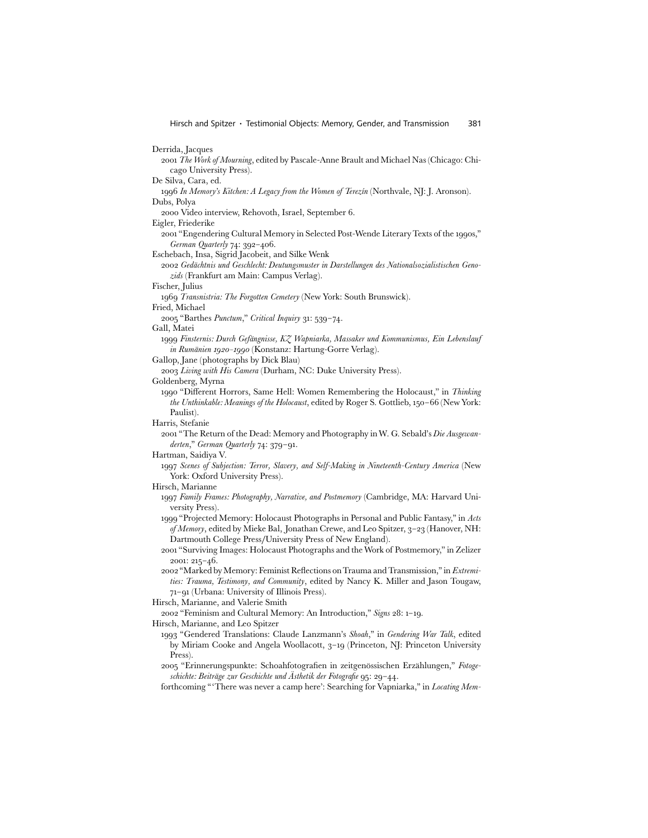| Derrida, Jacques |
|------------------|
|------------------|

2001 The Work of Mourning, edited by Pascale-Anne Brault and Michael Nas (Chicago: Chicago University Press).

De Silva, Cara, ed.

1996 In Memory's Kitchen: A Legacy from the Women of Terezín (Northvale, NJ: J. Aronson). Dubs, Polya

2000 Video interview, Rehovoth, Israel, September 6.

- Eigler, Friederike
	- 2001 ''Engendering Cultural Memory in Selected Post-Wende Literary Texts of the 1990s,'' German Quarterly 74: 392–406.
- Eschebach, Insa, Sigrid Jacobeit, and Silke Wenk
	- 2002 Gedächtnis und Geschlecht: Deutungsmuster in Darstellungen des Nationalsozialistischen Genozids (Frankfurt am Main: Campus Verlag).

Fischer, Julius

1969 Transnistria: The Forgotten Cemetery (New York: South Brunswick).

- Fried, Michael
- 2005 ''Barthes Punctum,'' Critical Inquiry 31: 539–74.

#### Gall, Matei

1999 Finsternis: Durch Gefängnisse, KZ Wapniarka, Massaker und Kommunismus, Ein Lebenslauf in Rumänien 1920–1990 (Konstanz: Hartung-Gorre Verlag).

Gallop, Jane (photographs by Dick Blau)

2003 Living with His Camera (Durham, NC: Duke University Press).

- Goldenberg, Myrna
	- 1990 ''Different Horrors, Same Hell: Women Remembering the Holocaust,'' in Thinking the Unthinkable: Meanings of the Holocaust, edited by Roger S. Gottlieb, 150–66 (New York: Paulist).

#### Harris, Stefanie

2001 "The Return of the Dead: Memory and Photography in W. G. Sebald's Die Ausgewanderten,'' German Quarterly 74: 379–91.

#### Hartman, Saidiya V.

1997 Scenes of Subjection: Terror, Slavery, and Self-Making in Nineteenth-Century America (New York: Oxford University Press).

#### Hirsch, Marianne

- 1997 Family Frames: Photography, Narrative, and Postmemory (Cambridge, MA: Harvard University Press).
- 1999 "Projected Memory: Holocaust Photographs in Personal and Public Fantasy," in Acts of Memory, edited by Mieke Bal, Jonathan Crewe, and Leo Spitzer, 3-23 (Hanover, NH: Dartmouth College Press/University Press of New England).
- 2001 ''Surviving Images: Holocaust Photographs and the Work of Postmemory,'' in Zelizer 2001: 215–46.
- 2002 "Marked by Memory: Feminist Reflections on Trauma and Transmission," in Extremities: Trauma, Testimony, and Community, edited by Nancy K. Miller and Jason Tougaw, 71–91 (Urbana: University of Illinois Press).

Hirsch, Marianne, and Valerie Smith

2002 ''Feminism and Cultural Memory: An Introduction,'' Signs 28: 1–19.

Hirsch, Marianne, and Leo Spitzer

- 1993 "Gendered Translations: Claude Lanzmann's Shoah," in Gendering War Talk, edited by Miriam Cooke and Angela Woollacott, 3–19 (Princeton, NJ: Princeton University Press).
- 2005 ''Erinnerungspunkte: Schoahfotografien in zeitgenössischen Erzählungen,'' Fotogeschichte: Beiträge zur Geschichte und Ästhetik der Fotografie 95: 29–44.
- forthcoming "'There was never a camp here': Searching for Vapniarka," in Locating Mem-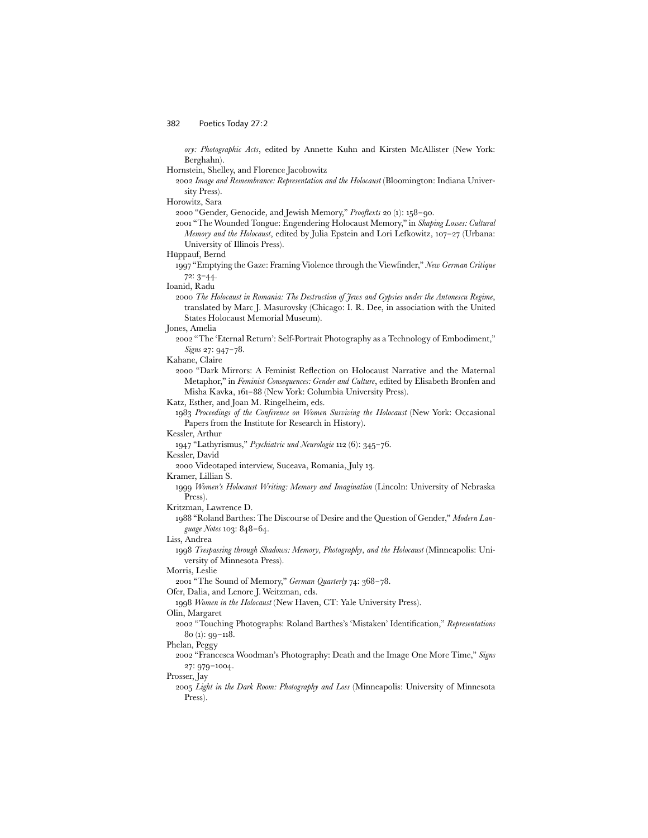ory: Photographic Acts, edited by Annette Kuhn and Kirsten McAllister (New York: Berghahn).

- Hornstein, Shelley, and Florence Jacobowitz
- 2002 Image and Remembrance: Representation and the Holocaust (Bloomington: Indiana University Press).

Horowitz, Sara

2000 ''Gender, Genocide, and Jewish Memory,'' Prooftexts 20 (1): 158–90.

2001 ''The Wounded Tongue: Engendering Holocaust Memory,'' in Shaping Losses: Cultural Memory and the Holocaust, edited by Julia Epstein and Lori Lefkowitz,  $107-27$  (Urbana: University of Illinois Press).

Hüppauf, Bernd

1997 "Emptying the Gaze: Framing Violence through the Viewfinder," New German Critique 72: 3–44.

Ioanid, Radu

2000 The Holocaust in Romania: The Destruction of Jews and Gypsies under the Antonescu Regime, translated by Marc J. Masurovsky (Chicago: I. R. Dee, in association with the United States Holocaust Memorial Museum).

Jones, Amelia

2002 ''The 'Eternal Return': Self-Portrait Photography as a Technology of Embodiment,'' Signs 27: 947-78.

Kahane, Claire

- 2000 ''Dark Mirrors: A Feminist Reflection on Holocaust Narrative and the Maternal Metaphor," in Feminist Consequences: Gender and Culture, edited by Elisabeth Bronfen and Misha Kavka, 161–88 (New York: Columbia University Press).
- Katz, Esther, and Joan M. Ringelheim, eds.
	- 1983 Proceedings of the Conference on Women Surviving the Holocaust (New York: Occasional Papers from the Institute for Research in History).

#### Kessler, Arthur

1947 ''Lathyrismus,'' Psychiatrie und Neurologie 112 (6): 345–76.

Kessler, David

2000 Videotaped interview, Suceava, Romania, July 13.

#### Kramer, Lillian S.

1999 Women's Holocaust Writing: Memory and Imagination (Lincoln: University of Nebraska Press).

Kritzman, Lawrence D.

1988 "Roland Barthes: The Discourse of Desire and the Question of Gender," Modern Language Notes 103: 848–64.

Liss, Andrea

1998 Trespassing through Shadows: Memory, Photography, and the Holocaust (Minneapolis: University of Minnesota Press).

Morris, Leslie

2001 ''The Sound of Memory,'' German Quarterly 74: 368–78.

Ofer, Dalia, and Lenore J. Weitzman, eds.

1998 Women in the Holocaust (New Haven, CT: Yale University Press).

Olin, Margaret

2002 "Touching Photographs: Roland Barthes's 'Mistaken' Identification," Representations 80 (1): 99–118.

Phelan, Peggy

2002 "Francesca Woodman's Photography: Death and the Image One More Time," Signs 27: 979–1004.

Prosser, Jay

2005 Light in the Dark Room: Photography and Loss (Minneapolis: University of Minnesota Press).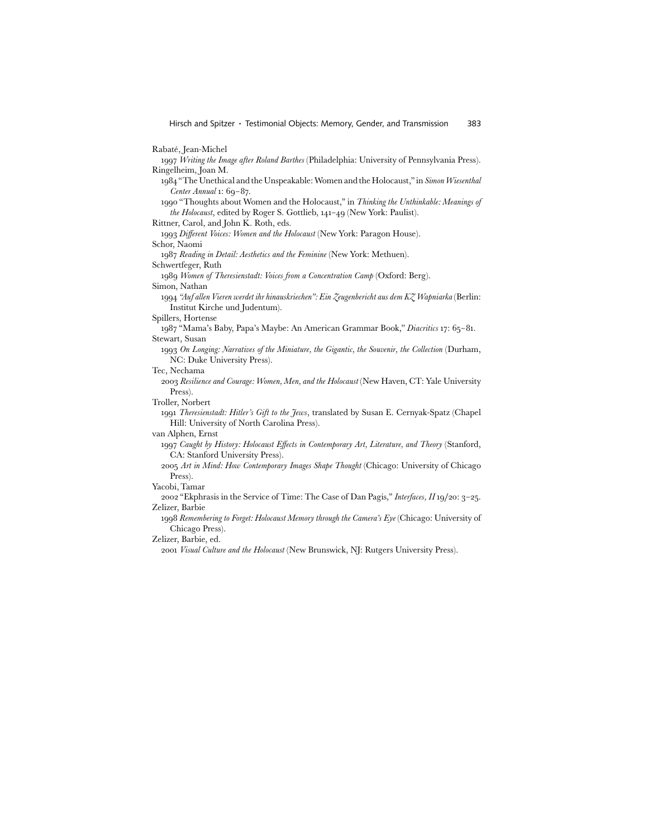| Rabaté, Jean-Michel                                                                                                                                                |
|--------------------------------------------------------------------------------------------------------------------------------------------------------------------|
| 1997 Writing the Image after Roland Barthes (Philadelphia: University of Pennsylvania Press).                                                                      |
| Ringelheim, Joan M.                                                                                                                                                |
| 1984 "The Unethical and the Unspeakable: Women and the Holocaust," in Simon Wiesenthal                                                                             |
| Center Annual 1: 69-87.                                                                                                                                            |
| 1990 "Thoughts about Women and the Holocaust," in Thinking the Unthinkable: Meanings of<br>the Holocaust, edited by Roger S. Gottlieb, 141-49 (New York: Paulist). |
| Rittner, Carol, and John K. Roth, eds.                                                                                                                             |
| 1993 Different Voices: Women and the Holocaust (New York: Paragon House).                                                                                          |
| Schor, Naomi                                                                                                                                                       |
| 1987 Reading in Detail: Aesthetics and the Feminine (New York: Methuen).                                                                                           |
| Schwertfeger, Ruth                                                                                                                                                 |
| 1989 Women of Theresienstadt: Voices from a Concentration Camp (Oxford: Berg).                                                                                     |
| Simon, Nathan                                                                                                                                                      |
| 1994 "Auf allen Vieren werdet ihr hinauskriechen": Ein Zeugenbericht aus dem KZ Wapniarka (Berlin:                                                                 |
| Institut Kirche und Judentum).                                                                                                                                     |
| Spillers, Hortense                                                                                                                                                 |
| 1987 "Mama's Baby, Papa's Maybe: An American Grammar Book," Diacritics 17: 65-81.                                                                                  |
| Stewart, Susan                                                                                                                                                     |
| 1993 On Longing: Narratives of the Miniature, the Gigantic, the Souvenir, the Collection (Durham,                                                                  |
| NC: Duke University Press).                                                                                                                                        |
| Tec, Nechama                                                                                                                                                       |
| 2003 Resilience and Courage: Women, Men, and the Holocaust (New Haven, CT: Yale University<br>Press).                                                              |
| Troller, Norbert                                                                                                                                                   |
| 1991 Theresienstadt: Hitler's Gift to the Jews, translated by Susan E. Cernyak-Spatz (Chapel                                                                       |
| Hill: University of North Carolina Press).                                                                                                                         |
| van Alphen, Ernst                                                                                                                                                  |
| 1997 Caught by History: Holocaust Effects in Contemporary Art, Literature, and Theory (Stanford,                                                                   |
| CA: Stanford University Press).                                                                                                                                    |
| 2005 Art in Mind: How Contemporary Images Shape Thought (Chicago: University of Chicago                                                                            |
| Press).                                                                                                                                                            |
| Yacobi, Tamar                                                                                                                                                      |
| 2002 "Ekphrasis in the Service of Time: The Case of Dan Pagis," Interfaces, II 19/20: 3-25.                                                                        |
| Zelizer, Barbie                                                                                                                                                    |
| 1998 Remembering to Forget: Holocaust Memory through the Camera's $E_{\mathcal{V}}$ e (Chicago: University of                                                      |
| Chicago Press).                                                                                                                                                    |
| Zelizer, Barbie, ed.                                                                                                                                               |

2001 Visual Culture and the Holocaust (New Brunswick, NJ: Rutgers University Press).